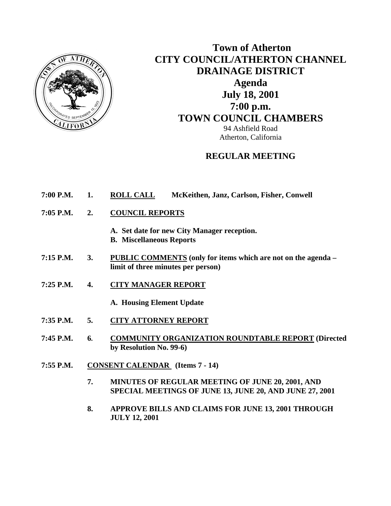

# **Town of Atherton CITY COUNCIL/ATHERTON CHANNEL DRAINAGE DISTRICT Agenda July 18, 2001 7:00 p.m. TOWN COUNCIL CHAMBERS** 94 Ashfield Road Atherton, California

### **REGULAR MEETING**

- **7:00 P.M. 1. ROLL CALL McKeithen, Janz, Carlson, Fisher, Conwell**
- **7:05 P.M. 2. COUNCIL REPORTS**
	- **A. Set date for new City Manager reception.**
	- **B. Miscellaneous Reports**
- **7:15 P.M. 3. PUBLIC COMMENTS (only for items which are not on the agenda limit of three minutes per person)**
- **7:25 P.M. 4. CITY MANAGER REPORT**
	- **A. Housing Element Update**
- **7:35 P.M. 5. CITY ATTORNEY REPORT**
- **7:45 P.M. 6. COMMUNITY ORGANIZATION ROUNDTABLE REPORT (Directed by Resolution No. 99-6)**
- **7:55 P.M. CONSENT CALENDAR (Items 7 14)** 
	- **7. MINUTES OF REGULAR MEETING OF JUNE 20, 2001, AND SPECIAL MEETINGS OF JUNE 13, JUNE 20, AND JUNE 27, 2001**
	- **8. APPROVE BILLS AND CLAIMS FOR JUNE 13, 2001 THROUGH JULY 12, 2001**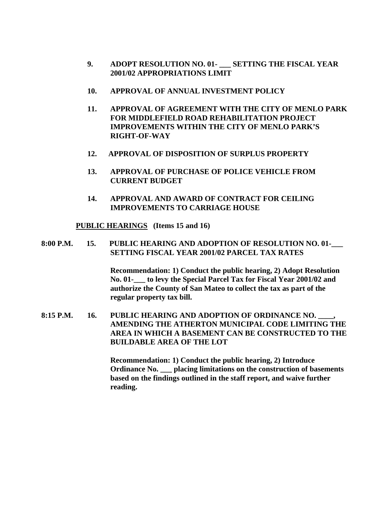- **9. ADOPT RESOLUTION NO. 01- \_\_\_ SETTING THE FISCAL YEAR 2001/02 APPROPRIATIONS LIMIT**
- **10. APPROVAL OF ANNUAL INVESTMENT POLICY**
- **11. APPROVAL OF AGREEMENT WITH THE CITY OF MENLO PARK FOR MIDDLEFIELD ROAD REHABILITATION PROJECT IMPROVEMENTS WITHIN THE CITY OF MENLO PARK'S RIGHT-OF-WAY**
- **12. APPROVAL OF DISPOSITION OF SURPLUS PROPERTY**
- **13. APPROVAL OF PURCHASE OF POLICE VEHICLE FROM CURRENT BUDGET**
- **14. APPROVAL AND AWARD OF CONTRACT FOR CEILING IMPROVEMENTS TO CARRIAGE HOUSE**

 **PUBLIC HEARINGS (Items 15 and 16)** 

#### **8:00 P.M. 15. PUBLIC HEARING AND ADOPTION OF RESOLUTION NO. 01-\_\_\_ SETTING FISCAL YEAR 2001/02 PARCEL TAX RATES**

**Recommendation: 1) Conduct the public hearing, 2) Adopt Resolution No. 01-\_\_\_ to levy the Special Parcel Tax for Fiscal Year 2001/02 and authorize the County of San Mateo to collect the tax as part of the regular property tax bill.** 

**8:15 P.M. 16. PUBLIC HEARING AND ADOPTION OF ORDINANCE NO. \_\_\_\_, AMENDING THE ATHERTON MUNICIPAL CODE LIMITING THE AREA IN WHICH A BASEMENT CAN BE CONSTRUCTED TO THE BUILDABLE AREA OF THE LOT** 

> **Recommendation: 1) Conduct the public hearing, 2) Introduce Ordinance No. \_\_\_ placing limitations on the construction of basements based on the findings outlined in the staff report, and waive further reading.**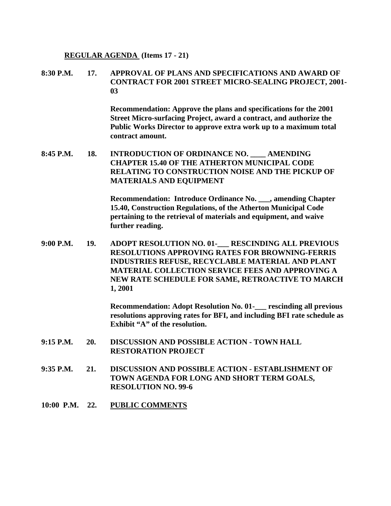#### **REGULAR AGENDA (Items 17 - 21)**

#### **8:30 P.M. 17. APPROVAL OF PLANS AND SPECIFICATIONS AND AWARD OF CONTRACT FOR 2001 STREET MICRO-SEALING PROJECT, 2001- 03**

 **Recommendation: Approve the plans and specifications for the 2001 Street Micro-surfacing Project, award a contract, and authorize the Public Works Director to approve extra work up to a maximum total contract amount.** 

**8:45 P.M. 18. INTRODUCTION OF ORDINANCE NO. \_\_\_\_ AMENDING CHAPTER 15.40 OF THE ATHERTON MUNICIPAL CODE RELATING TO CONSTRUCTION NOISE AND THE PICKUP OF MATERIALS AND EQUIPMENT** 

> **Recommendation: Introduce Ordinance No. \_\_\_, amending Chapter 15.40, Construction Regulations, of the Atherton Municipal Code pertaining to the retrieval of materials and equipment, and waive further reading.**

**9:00 P.M. 19. ADOPT RESOLUTION NO. 01-\_\_\_ RESCINDING ALL PREVIOUS RESOLUTIONS APPROVING RATES FOR BROWNING-FERRIS INDUSTRIES REFUSE, RECYCLABLE MATERIAL AND PLANT MATERIAL COLLECTION SERVICE FEES AND APPROVING A NEW RATE SCHEDULE FOR SAME, RETROACTIVE TO MARCH 1, 2001** 

> **Recommendation: Adopt Resolution No. 01-\_\_\_ rescinding all previous resolutions approving rates for BFI, and including BFI rate schedule as Exhibit "A" of the resolution.**

- **9:15 P.M. 20. DISCUSSION AND POSSIBLE ACTION TOWN HALL RESTORATION PROJECT**
- **9:35 P.M. 21. DISCUSSION AND POSSIBLE ACTION ESTABLISHMENT OF TOWN AGENDA FOR LONG AND SHORT TERM GOALS, RESOLUTION NO. 99-6**
- **10:00 P.M. 22. PUBLIC COMMENTS**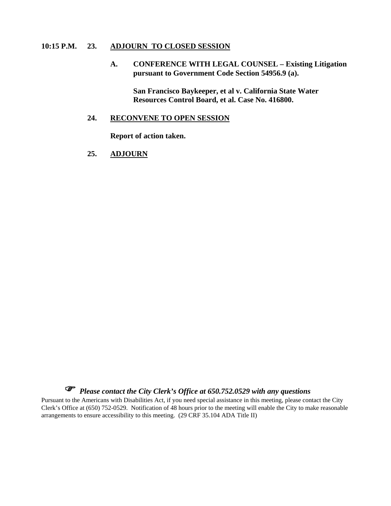#### **10:15 P.M. 23. ADJOURN TO CLOSED SESSION**

 **A. CONFERENCE WITH LEGAL COUNSEL – Existing Litigation pursuant to Government Code Section 54956.9 (a).** 

> **San Francisco Baykeeper, et al v. California State Water Resources Control Board, et al. Case No. 416800.**

#### **24. RECONVENE TO OPEN SESSION**

 **Report of action taken.** 

**25. ADJOURN**



Pursuant to the Americans with Disabilities Act, if you need special assistance in this meeting, please contact the City Clerk's Office at (650) 752-0529. Notification of 48 hours prior to the meeting will enable the City to make reasonable arrangements to ensure accessibility to this meeting. (29 CRF 35.104 ADA Title II)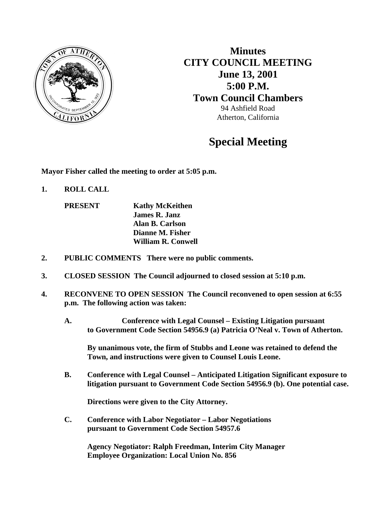

**Minutes CITY COUNCIL MEETING June 13, 2001 5:00 P.M. Town Council Chambers**  94 Ashfield Road Atherton, California

# **Special Meeting**

**Mayor Fisher called the meeting to order at 5:05 p.m.** 

**1. ROLL CALL** 

**PRESENT Kathy McKeithen James R. Janz Alan B. Carlson Dianne M. Fisher William R. Conwell** 

- **2. PUBLIC COMMENTS There were no public comments.**
- **3. CLOSED SESSION The Council adjourned to closed session at 5:10 p.m.**
- **4. RECONVENE TO OPEN SESSION The Council reconvened to open session at 6:55 p.m. The following action was taken:** 
	- **A. Conference with Legal Counsel Existing Litigation pursuant to Government Code Section 54956.9 (a) Patricia O'Neal v. Town of Atherton.**

 **By unanimous vote, the firm of Stubbs and Leone was retained to defend the Town, and instructions were given to Counsel Louis Leone.** 

 **B. Conference with Legal Counsel – Anticipated Litigation Significant exposure to litigation pursuant to Government Code Section 54956.9 (b). One potential case.** 

 **Directions were given to the City Attorney.** 

 **C. Conference with Labor Negotiator – Labor Negotiations pursuant to Government Code Section 54957.6** 

> **Agency Negotiator: Ralph Freedman, Interim City Manager Employee Organization: Local Union No. 856**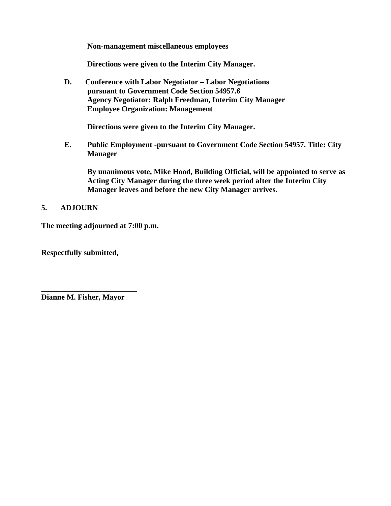**Non-management miscellaneous employees** 

 **Directions were given to the Interim City Manager.** 

 **D. Conference with Labor Negotiator – Labor Negotiations pursuant to Government Code Section 54957.6 Agency Negotiator: Ralph Freedman, Interim City Manager Employee Organization: Management** 

 **Directions were given to the Interim City Manager.** 

 **E. Public Employment -pursuant to Government Code Section 54957. Title: City Manager** 

 **By unanimous vote, Mike Hood, Building Official, will be appointed to serve as Acting City Manager during the three week period after the Interim City Manager leaves and before the new City Manager arrives.** 

### **5. ADJOURN**

**The meeting adjourned at 7:00 p.m.** 

**Respectfully submitted,** 

**Dianne M. Fisher, Mayor** 

**\_\_\_\_\_\_\_\_\_\_\_\_\_\_\_\_\_\_\_\_\_\_\_\_\_**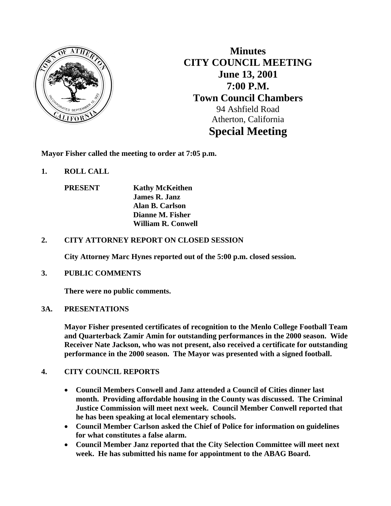

**Minutes CITY COUNCIL MEETING June 13, 2001 7:00 P.M. Town Council Chambers**  94 Ashfield Road Atherton, California **Special Meeting** 

**Mayor Fisher called the meeting to order at 7:05 p.m.** 

**1. ROLL CALL** 

**PRESENT Kathy McKeithen James R. Janz Alan B. Carlson Dianne M. Fisher William R. Conwell** 

### **2. CITY ATTORNEY REPORT ON CLOSED SESSION**

 **City Attorney Marc Hynes reported out of the 5:00 p.m. closed session.** 

### **3. PUBLIC COMMENTS**

 **There were no public comments.** 

### **3A. PRESENTATIONS**

 **Mayor Fisher presented certificates of recognition to the Menlo College Football Team and Quarterback Zamir Amin for outstanding performances in the 2000 season. Wide Receiver Nate Jackson, who was not present, also received a certificate for outstanding performance in the 2000 season. The Mayor was presented with a signed football.** 

### **4. CITY COUNCIL REPORTS**

- **Council Members Conwell and Janz attended a Council of Cities dinner last month. Providing affordable housing in the County was discussed. The Criminal Justice Commission will meet next week. Council Member Conwell reported that he has been speaking at local elementary schools.**
- **Council Member Carlson asked the Chief of Police for information on guidelines for what constitutes a false alarm.**
- **Council Member Janz reported that the City Selection Committee will meet next week. He has submitted his name for appointment to the ABAG Board.**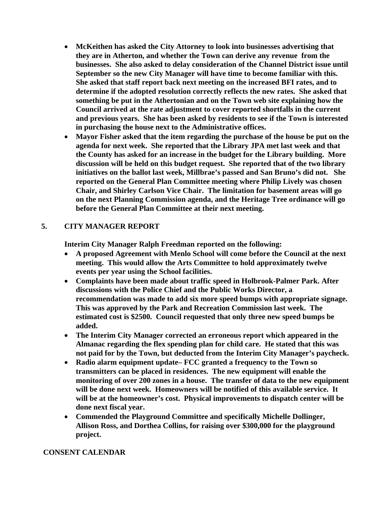- **McKeithen has asked the City Attorney to look into businesses advertising that they are in Atherton, and whether the Town can derive any revenue from the businesses. She also asked to delay consideration of the Channel District issue until September so the new City Manager will have time to become familiar with this. She asked that staff report back next meeting on the increased BFI rates, and to determine if the adopted resolution correctly reflects the new rates. She asked that something be put in the Athertonian and on the Town web site explaining how the Council arrived at the rate adjustment to cover reported shortfalls in the current and previous years. She has been asked by residents to see if the Town is interested in purchasing the house next to the Administrative offices.**
- **Mayor Fisher asked that the item regarding the purchase of the house be put on the agenda for next week. She reported that the Library JPA met last week and that the County has asked for an increase in the budget for the Library building. More discussion will be held on this budget request. She reported that of the two library initiatives on the ballot last week, Millbrae's passed and San Bruno's did not. She reported on the General Plan Committee meeting where Philip Lively was chosen Chair, and Shirley Carlson Vice Chair. The limitation for basement areas will go on the next Planning Commission agenda, and the Heritage Tree ordinance will go before the General Plan Committee at their next meeting.**

### **5. CITY MANAGER REPORT**

**Interim City Manager Ralph Freedman reported on the following:** 

- **A proposed Agreement with Menlo School will come before the Council at the next meeting. This would allow the Arts Committee to hold approximately twelve events per year using the School facilities.**
- **Complaints have been made about traffic speed in Holbrook-Palmer Park. After discussions with the Police Chief and the Public Works Director, a recommendation was made to add six more speed bumps with appropriate signage. This was approved by the Park and Recreation Commission last week. The estimated cost is \$2500. Council requested that only three new speed bumps be added.**
- **The Interim City Manager corrected an erroneous report which appeared in the Almanac regarding the flex spending plan for child care. He stated that this was not paid for by the Town, but deducted from the Interim City Manager's paycheck.**
- **Radio alarm equipment update– FCC granted a frequency to the Town so transmitters can be placed in residences. The new equipment will enable the monitoring of over 200 zones in a house. The transfer of data to the new equipment will be done next week. Homeowners will be notified of this available service. It will be at the homeowner's cost. Physical improvements to dispatch center will be done next fiscal year.**
- **Commended the Playground Committee and specifically Michelle Dollinger, Allison Ross, and Dorthea Collins, for raising over \$300,000 for the playground project.**

#### **CONSENT CALENDAR**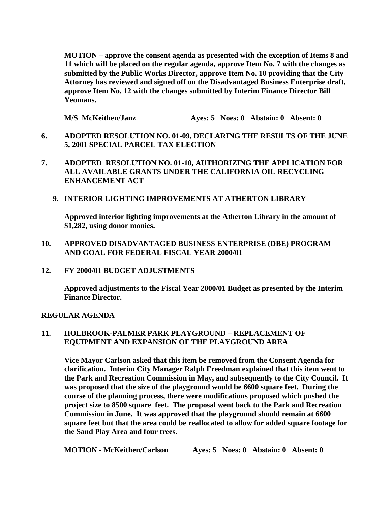**MOTION – approve the consent agenda as presented with the exception of Items 8 and 11 which will be placed on the regular agenda, approve Item No. 7 with the changes as submitted by the Public Works Director, approve Item No. 10 providing that the City Attorney has reviewed and signed off on the Disadvantaged Business Enterprise draft, approve Item No. 12 with the changes submitted by Interim Finance Director Bill Yeomans.** 

 **M/S McKeithen/Janz Ayes: 5 Noes: 0 Abstain: 0 Absent: 0** 

- **6. ADOPTED RESOLUTION NO. 01-09, DECLARING THE RESULTS OF THE JUNE 5, 2001 SPECIAL PARCEL TAX ELECTION**
- **7. ADOPTED RESOLUTION NO. 01-10, AUTHORIZING THE APPLICATION FOR ALL AVAILABLE GRANTS UNDER THE CALIFORNIA OIL RECYCLING ENHANCEMENT ACT** 
	- **9. INTERIOR LIGHTING IMPROVEMENTS AT ATHERTON LIBRARY**

**Approved interior lighting improvements at the Atherton Library in the amount of \$1,282, using donor monies.** 

#### **10. APPROVED DISADVANTAGED BUSINESS ENTERPRISE (DBE) PROGRAM AND GOAL FOR FEDERAL FISCAL YEAR 2000/01**

**12. FY 2000/01 BUDGET ADJUSTMENTS** 

 **Approved adjustments to the Fiscal Year 2000/01 Budget as presented by the Interim Finance Director.** 

#### **REGULAR AGENDA**

#### **11. HOLBROOK-PALMER PARK PLAYGROUND – REPLACEMENT OF EQUIPMENT AND EXPANSION OF THE PLAYGROUND AREA**

**Vice Mayor Carlson asked that this item be removed from the Consent Agenda for clarification. Interim City Manager Ralph Freedman explained that this item went to the Park and Recreation Commission in May, and subsequently to the City Council. It was proposed that the size of the playground would be 6600 square feet. During the course of the planning process, there were modifications proposed which pushed the project size to 8500 square feet. The proposal went back to the Park and Recreation Commission in June. It was approved that the playground should remain at 6600 square feet but that the area could be reallocated to allow for added square footage for the Sand Play Area and four trees.** 

 **MOTION - McKeithen/Carlson Ayes: 5 Noes: 0 Abstain: 0 Absent: 0**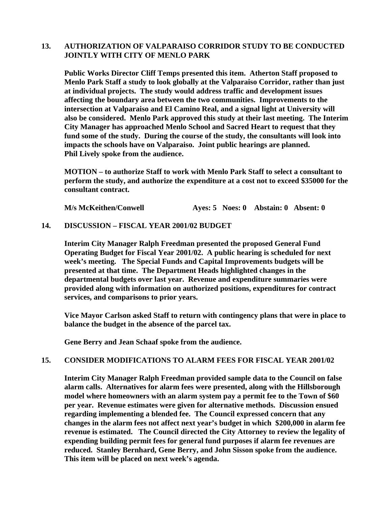#### **13. AUTHORIZATION OF VALPARAISO CORRIDOR STUDY TO BE CONDUCTED JOINTLY WITH CITY OF MENLO PARK**

**Public Works Director Cliff Temps presented this item. Atherton Staff proposed to Menlo Park Staff a study to look globally at the Valparaiso Corridor, rather than just at individual projects. The study would address traffic and development issues affecting the boundary area between the two communities. Improvements to the intersection at Valparaiso and El Camino Real, and a signal light at University will also be considered. Menlo Park approved this study at their last meeting. The Interim City Manager has approached Menlo School and Sacred Heart to request that they fund some of the study. During the course of the study, the consultants will look into impacts the schools have on Valparaiso. Joint public hearings are planned. Phil Lively spoke from the audience.** 

**MOTION – to authorize Staff to work with Menlo Park Staff to select a consultant to perform the study, and authorize the expenditure at a cost not to exceed \$35000 for the consultant contract.** 

 **M/s McKeithen/Conwell Ayes: 5 Noes: 0 Abstain: 0 Absent: 0** 

#### **14. DISCUSSION – FISCAL YEAR 2001/02 BUDGET**

**Interim City Manager Ralph Freedman presented the proposed General Fund Operating Budget for Fiscal Year 2001/02. A public hearing is scheduled for next week's meeting. The Special Funds and Capital Improvements budgets will be presented at that time. The Department Heads highlighted changes in the departmental budgets over last year. Revenue and expenditure summaries were provided along with information on authorized positions, expenditures for contract services, and comparisons to prior years.** 

**Vice Mayor Carlson asked Staff to return with contingency plans that were in place to balance the budget in the absence of the parcel tax.** 

 **Gene Berry and Jean Schaaf spoke from the audience.** 

#### **15. CONSIDER MODIFICATIONS TO ALARM FEES FOR FISCAL YEAR 2001/02**

 **Interim City Manager Ralph Freedman provided sample data to the Council on false alarm calls. Alternatives for alarm fees were presented, along with the Hillsborough model where homeowners with an alarm system pay a permit fee to the Town of \$60 per year. Revenue estimates were given for alternative methods. Discussion ensued regarding implementing a blended fee. The Council expressed concern that any changes in the alarm fees not affect next year's budget in which \$200,000 in alarm fee revenue is estimated. The Council directed the City Attorney to review the legality of expending building permit fees for general fund purposes if alarm fee revenues are reduced. Stanley Bernhard, Gene Berry, and John Sisson spoke from the audience. This item will be placed on next week's agenda.**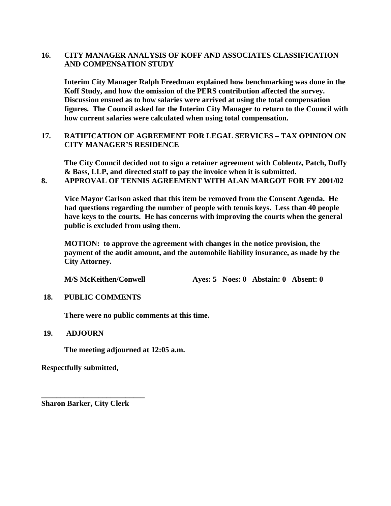### **16. CITY MANAGER ANALYSIS OF KOFF AND ASSOCIATES CLASSIFICATION AND COMPENSATION STUDY**

**Interim City Manager Ralph Freedman explained how benchmarking was done in the Koff Study, and how the omission of the PERS contribution affected the survey. Discussion ensued as to how salaries were arrived at using the total compensation figures. The Council asked for the Interim City Manager to return to the Council with how current salaries were calculated when using total compensation.** 

### **17. RATIFICATION OF AGREEMENT FOR LEGAL SERVICES – TAX OPINION ON CITY MANAGER'S RESIDENCE**

**The City Council decided not to sign a retainer agreement with Coblentz, Patch, Duffy & Bass, LLP, and directed staff to pay the invoice when it is submitted. 8. APPROVAL OF TENNIS AGREEMENT WITH ALAN MARGOT FOR FY 2001/02** 

 **Vice Mayor Carlson asked that this item be removed from the Consent Agenda. He had questions regarding the number of people with tennis keys. Less than 40 people have keys to the courts. He has concerns with improving the courts when the general public is excluded from using them.** 

 **MOTION: to approve the agreement with changes in the notice provision, the payment of the audit amount, and the automobile liability insurance, as made by the City Attorney.** 

 **M/S McKeithen/Conwell Ayes: 5 Noes: 0 Abstain: 0 Absent: 0** 

 **18. PUBLIC COMMENTS** 

 **There were no public comments at this time.** 

#### **19. ADJOURN**

 **The meeting adjourned at 12:05 a.m.** 

**Respectfully submitted,** 

**Sharon Barker, City Clerk** 

**\_\_\_\_\_\_\_\_\_\_\_\_\_\_\_\_\_\_\_\_\_\_\_\_\_\_\_**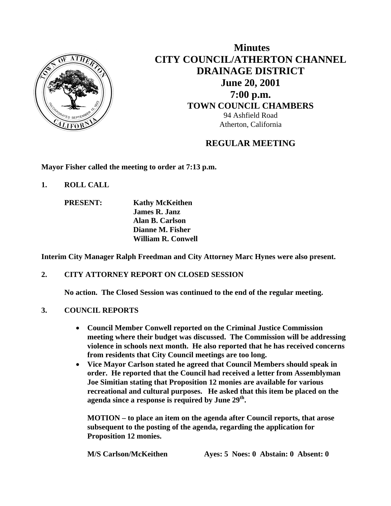

 **Minutes CITY COUNCIL/ATHERTON CHANNEL DRAINAGE DISTRICT June 20, 2001 7:00 p.m. TOWN COUNCIL CHAMBERS** 94 Ashfield Road Atherton, California

## **REGULAR MEETING**

**Mayor Fisher called the meeting to order at 7:13 p.m.** 

- **1. ROLL CALL** 
	- **PRESENT: Kathy McKeithen James R. Janz Alan B. Carlson Dianne M. Fisher William R. Conwell**

**Interim City Manager Ralph Freedman and City Attorney Marc Hynes were also present.** 

### **2. CITY ATTORNEY REPORT ON CLOSED SESSION**

 **No action. The Closed Session was continued to the end of the regular meeting.** 

### **3. COUNCIL REPORTS**

- **Council Member Conwell reported on the Criminal Justice Commission meeting where their budget was discussed. The Commission will be addressing violence in schools next month. He also reported that he has received concerns from residents that City Council meetings are too long.**
- **Vice Mayor Carlson stated he agreed that Council Members should speak in order. He reported that the Council had received a letter from Assemblyman Joe Simitian stating that Proposition 12 monies are available for various recreational and cultural purposes. He asked that this item be placed on the**  agenda since a response is required by June 29<sup>th</sup>.

**MOTION – to place an item on the agenda after Council reports, that arose subsequent to the posting of the agenda, regarding the application for Proposition 12 monies.** 

 **M/S Carlson/McKeithen Ayes: 5 Noes: 0 Abstain: 0 Absent: 0**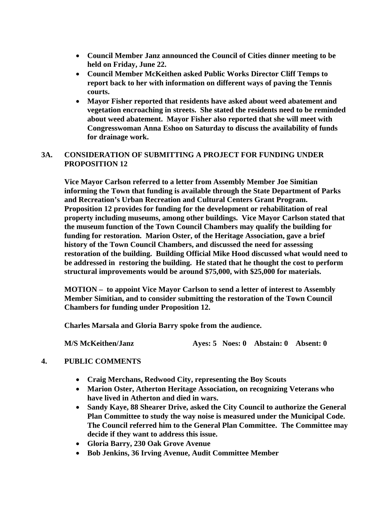- **Council Member Janz announced the Council of Cities dinner meeting to be held on Friday, June 22.**
- **Council Member McKeithen asked Public Works Director Cliff Temps to report back to her with information on different ways of paving the Tennis courts.**
- **Mayor Fisher reported that residents have asked about weed abatement and vegetation encroaching in streets. She stated the residents need to be reminded about weed abatement. Mayor Fisher also reported that she will meet with Congresswoman Anna Eshoo on Saturday to discuss the availability of funds for drainage work.**

### **3A. CONSIDERATION OF SUBMITTING A PROJECT FOR FUNDING UNDER PROPOSITION 12**

 **Vice Mayor Carlson referred to a letter from Assembly Member Joe Simitian informing the Town that funding is available through the State Department of Parks and Recreation's Urban Recreation and Cultural Centers Grant Program. Proposition 12 provides for funding for the development or rehabilitation of real property including museums, among other buildings. Vice Mayor Carlson stated that the museum function of the Town Council Chambers may qualify the building for funding for restoration. Marion Oster, of the Heritage Association, gave a brief history of the Town Council Chambers, and discussed the need for assessing restoration of the building. Building Official Mike Hood discussed what would need to be addressed in restoring the building. He stated that he thought the cost to perform structural improvements would be around \$75,000, with \$25,000 for materials.** 

**MOTION – to appoint Vice Mayor Carlson to send a letter of interest to Assembly Member Simitian, and to consider submitting the restoration of the Town Council Chambers for funding under Proposition 12.** 

 **Charles Marsala and Gloria Barry spoke from the audience.** 

**M/S McKeithen/Janz Ayes: 5 Noes: 0 Abstain: 0 Absent: 0** 

### **4. PUBLIC COMMENTS**

- **Craig Merchans, Redwood City, representing the Boy Scouts**
- **Marion Oster, Atherton Heritage Association, on recognizing Veterans who have lived in Atherton and died in wars.**
- **Sandy Kaye, 88 Shearer Drive, asked the City Council to authorize the General Plan Committee to study the way noise is measured under the Municipal Code. The Council referred him to the General Plan Committee. The Committee may decide if they want to address this issue.**
- **Gloria Barry, 230 Oak Grove Avenue**
- **Bob Jenkins, 36 Irving Avenue, Audit Committee Member**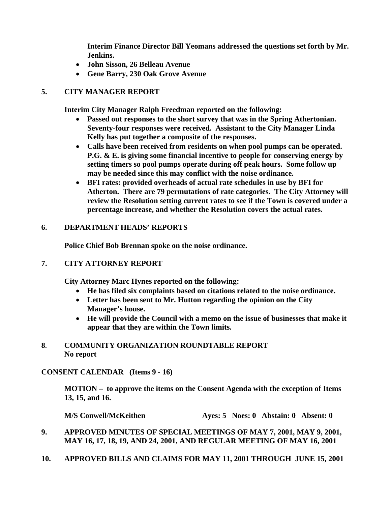**Interim Finance Director Bill Yeomans addressed the questions set forth by Mr. Jenkins.** 

- **John Sisson, 26 Belleau Avenue**
- **Gene Barry, 230 Oak Grove Avenue**

### **5. CITY MANAGER REPORT**

 **Interim City Manager Ralph Freedman reported on the following:** 

- **Passed out responses to the short survey that was in the Spring Athertonian. Seventy-four responses were received. Assistant to the City Manager Linda Kelly has put together a composite of the responses.**
- **Calls have been received from residents on when pool pumps can be operated. P.G. & E. is giving some financial incentive to people for conserving energy by setting timers so pool pumps operate during off peak hours. Some follow up may be needed since this may conflict with the noise ordinance.**
- **BFI rates: provided overheads of actual rate schedules in use by BFI for Atherton. There are 79 permutations of rate categories. The City Attorney will review the Resolution setting current rates to see if the Town is covered under a percentage increase, and whether the Resolution covers the actual rates.**

### **6. DEPARTMENT HEADS' REPORTS**

 **Police Chief Bob Brennan spoke on the noise ordinance.** 

### **7. CITY ATTORNEY REPORT**

**City Attorney Marc Hynes reported on the following:** 

- **He has filed six complaints based on citations related to the noise ordinance.**
- **Letter has been sent to Mr. Hutton regarding the opinion on the City Manager's house.**
- **He will provide the Council with a memo on the issue of businesses that make it appear that they are within the Town limits.**

### **8. COMMUNITY ORGANIZATION ROUNDTABLE REPORT No report**

### **CONSENT CALENDAR (Items 9 - 16)**

**MOTION – to approve the items on the Consent Agenda with the exception of Items 13, 15, and 16.** 

**M/S Conwell/McKeithen Ayes: 5 Noes: 0 Abstain: 0 Absent: 0** 

- **9. APPROVED MINUTES OF SPECIAL MEETINGS OF MAY 7, 2001, MAY 9, 2001, MAY 16, 17, 18, 19, AND 24, 2001, AND REGULAR MEETING OF MAY 16, 2001**
- **10. APPROVED BILLS AND CLAIMS FOR MAY 11, 2001 THROUGH JUNE 15, 2001**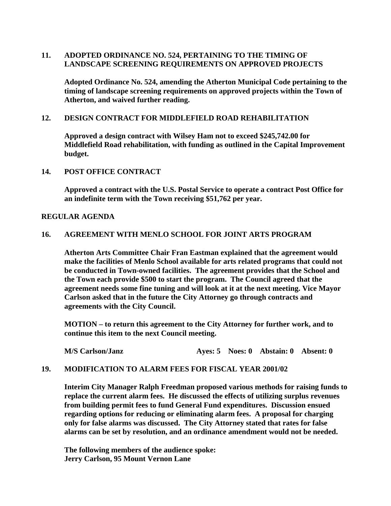### **11. ADOPTED ORDINANCE NO. 524, PERTAINING TO THE TIMING OF LANDSCAPE SCREENING REQUIREMENTS ON APPROVED PROJECTS**

 **Adopted Ordinance No. 524, amending the Atherton Municipal Code pertaining to the timing of landscape screening requirements on approved projects within the Town of Atherton, and waived further reading.** 

### **12. DESIGN CONTRACT FOR MIDDLEFIELD ROAD REHABILITATION**

 **Approved a design contract with Wilsey Ham not to exceed \$245,742.00 for Middlefield Road rehabilitation, with funding as outlined in the Capital Improvement budget.** 

### **14. POST OFFICE CONTRACT**

 **Approved a contract with the U.S. Postal Service to operate a contract Post Office for an indefinite term with the Town receiving \$51,762 per year.** 

### **REGULAR AGENDA**

### **16. AGREEMENT WITH MENLO SCHOOL FOR JOINT ARTS PROGRAM**

**Atherton Arts Committee Chair Fran Eastman explained that the agreement would make the facilities of Menlo School available for arts related programs that could not be conducted in Town-owned facilities. The agreement provides that the School and the Town each provide \$500 to start the program. The Council agreed that the agreement needs some fine tuning and will look at it at the next meeting. Vice Mayor Carlson asked that in the future the City Attorney go through contracts and agreements with the City Council.** 

 **MOTION – to return this agreement to the City Attorney for further work, and to continue this item to the next Council meeting.** 

 **M/S Carlson/Janz Ayes: 5 Noes: 0 Abstain: 0 Absent: 0** 

### **19. MODIFICATION TO ALARM FEES FOR FISCAL YEAR 2001/02**

**Interim City Manager Ralph Freedman proposed various methods for raising funds to replace the current alarm fees. He discussed the effects of utilizing surplus revenues from building permit fees to fund General Fund expenditures. Discussion ensued regarding options for reducing or eliminating alarm fees. A proposal for charging only for false alarms was discussed. The City Attorney stated that rates for false alarms can be set by resolution, and an ordinance amendment would not be needed.** 

 **The following members of the audience spoke: Jerry Carlson, 95 Mount Vernon Lane**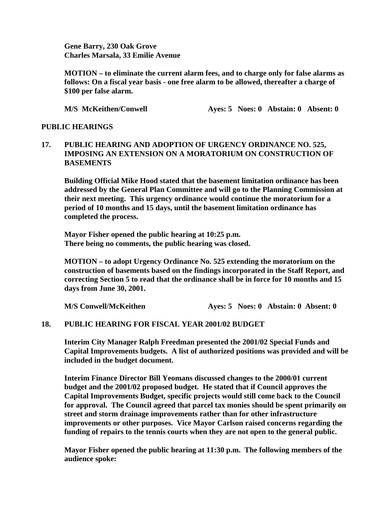**Gene Barry, 230 Oak Grove Charles Marsala, 33 Emilie Avenue** 

 **MOTION – to eliminate the current alarm fees, and to charge only for false alarms as follows: On a fiscal year basis - one free alarm to be allowed, thereafter a charge of \$100 per false alarm.** 

**M/S McKeithen/Conwell Ayes: 5 Noes: 0 Abstain: 0 Absent: 0** 

### **PUBLIC HEARINGS**

### **17. PUBLIC HEARING AND ADOPTION OF URGENCY ORDINANCE NO. 525, IMPOSING AN EXTENSION ON A MORATORIUM ON CONSTRUCTION OF BASEMENTS**

**Building Official Mike Hood stated that the basement limitation ordinance has been addressed by the General Plan Committee and will go to the Planning Commission at their next meeting. This urgency ordinance would continue the moratorium for a period of 10 months and 15 days, until the basement limitation ordinance has completed the process.** 

**Mayor Fisher opened the public hearing at 10:25 p.m. There being no comments, the public hearing was closed.** 

**MOTION – to adopt Urgency Ordinance No. 525 extending the moratorium on the construction of basements based on the findings incorporated in the Staff Report, and correcting Section 5 to read that the ordinance shall be in force for 10 months and 15 days from June 30, 2001.** 

**M/S Conwell/McKeithen Ayes: 5 Noes: 0 Abstain: 0 Absent: 0** 

### **18. PUBLIC HEARING FOR FISCAL YEAR 2001/02 BUDGET**

 **Interim City Manager Ralph Freedman presented the 2001/02 Special Funds and Capital Improvements budgets. A list of authorized positions was provided and will be included in the budget document.** 

**Interim Finance Director Bill Yeomans discussed changes to the 2000/01 current budget and the 2001/02 proposed budget. He stated that if Council approves the Capital Improvements Budget, specific projects would still come back to the Council for approval. The Council agreed that parcel tax monies should be spent primarily on street and storm drainage improvements rather than for other infrastructure improvements or other purposes. Vice Mayor Carlson raised concerns regarding the funding of repairs to the tennis courts when they are not open to the general public.** 

**Mayor Fisher opened the public hearing at 11:30 p.m. The following members of the audience spoke:**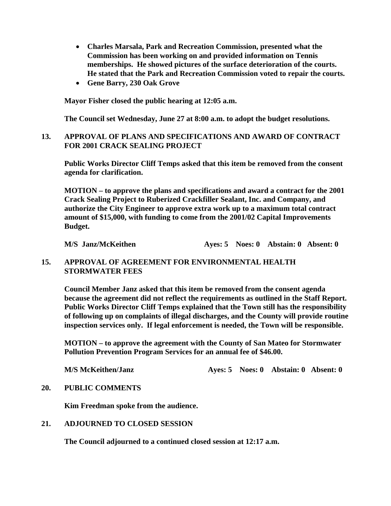- **Charles Marsala, Park and Recreation Commission, presented what the Commission has been working on and provided information on Tennis memberships. He showed pictures of the surface deterioration of the courts. He stated that the Park and Recreation Commission voted to repair the courts.**
- **Gene Barry, 230 Oak Grove**

**Mayor Fisher closed the public hearing at 12:05 a.m.** 

 **The Council set Wednesday, June 27 at 8:00 a.m. to adopt the budget resolutions.** 

### **13. APPROVAL OF PLANS AND SPECIFICATIONS AND AWARD OF CONTRACT FOR 2001 CRACK SEALING PROJECT**

 **Public Works Director Cliff Temps asked that this item be removed from the consent agenda for clarification.** 

 **MOTION – to approve the plans and specifications and award a contract for the 2001 Crack Sealing Project to Ruberized Crackfiller Sealant, Inc. and Company, and authorize the City Engineer to approve extra work up to a maximum total contract amount of \$15,000, with funding to come from the 2001/02 Capital Improvements Budget.** 

**M/S** Janz/McKeithen **Ayes: 5 Noes: 0 Abstain: 0 Absent: 0** 

#### **15. APPROVAL OF AGREEMENT FOR ENVIRONMENTAL HEALTH STORMWATER FEES**

**Council Member Janz asked that this item be removed from the consent agenda because the agreement did not reflect the requirements as outlined in the Staff Report. Public Works Director Cliff Temps explained that the Town still has the responsibility of following up on complaints of illegal discharges, and the County will provide routine inspection services only. If legal enforcement is needed, the Town will be responsible.** 

**MOTION – to approve the agreement with the County of San Mateo for Stormwater Pollution Prevention Program Services for an annual fee of \$46.00.** 

**M/S McKeithen/Janz Ayes: 5 Noes: 0 Abstain: 0 Absent: 0** 

#### **20. PUBLIC COMMENTS**

 **Kim Freedman spoke from the audience.** 

#### **21. ADJOURNED TO CLOSED SESSION**

**The Council adjourned to a continued closed session at 12:17 a.m.**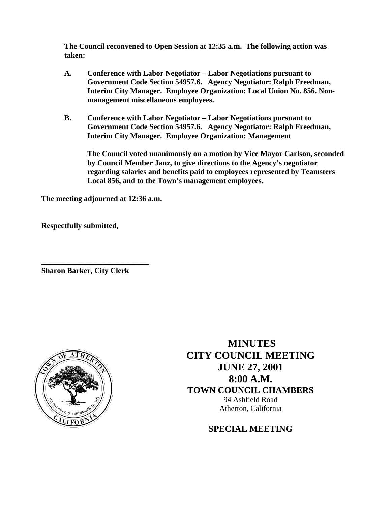**The Council reconvened to Open Session at 12:35 a.m. The following action was taken:** 

- **A. Conference with Labor Negotiator Labor Negotiations pursuant to Government Code Section 54957.6. Agency Negotiator: Ralph Freedman, Interim City Manager. Employee Organization: Local Union No. 856. Nonmanagement miscellaneous employees.**
- **B. Conference with Labor Negotiator Labor Negotiations pursuant to Government Code Section 54957.6. Agency Negotiator: Ralph Freedman, Interim City Manager. Employee Organization: Management**

**The Council voted unanimously on a motion by Vice Mayor Carlson, seconded by Council Member Janz, to give directions to the Agency's negotiator regarding salaries and benefits paid to employees represented by Teamsters Local 856, and to the Town's management employees.** 

**The meeting adjourned at 12:36 a.m.** 

**Respectfully submitted,** 

**Sharon Barker, City Clerk** 

**\_\_\_\_\_\_\_\_\_\_\_\_\_\_\_\_\_\_\_\_\_\_\_\_\_\_\_\_** 



 **MINUTES CITY COUNCIL MEETING JUNE 27, 2001 8:00 A.M. TOWN COUNCIL CHAMBERS**  94 Ashfield Road Atherton, California

**SPECIAL MEETING**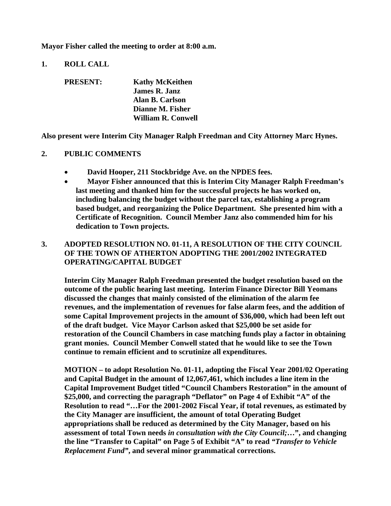**Mayor Fisher called the meeting to order at 8:00 a.m.** 

**1. ROLL CALL** 

| <b>PRESENT:</b> | <b>Kathy McKeithen</b>    |
|-----------------|---------------------------|
|                 | <b>James R. Janz</b>      |
|                 | Alan B. Carlson           |
|                 | Dianne M. Fisher          |
|                 | <b>William R. Conwell</b> |

**Also present were Interim City Manager Ralph Freedman and City Attorney Marc Hynes.** 

#### **2. PUBLIC COMMENTS**

- **David Hooper, 211 Stockbridge Ave. on the NPDES fees.**
- **Mayor Fisher announced that this is Interim City Manager Ralph Freedman's last meeting and thanked him for the successful projects he has worked on, including balancing the budget without the parcel tax, establishing a program based budget, and reorganizing the Police Department. She presented him with a Certificate of Recognition. Council Member Janz also commended him for his dedication to Town projects.**

### **3. ADOPTED RESOLUTION NO. 01-11, A RESOLUTION OF THE CITY COUNCIL OF THE TOWN OF ATHERTON ADOPTING THE 2001/2002 INTEGRATED OPERATING/CAPITAL BUDGET**

 **Interim City Manager Ralph Freedman presented the budget resolution based on the outcome of the public hearing last meeting. Interim Finance Director Bill Yeomans discussed the changes that mainly consisted of the elimination of the alarm fee revenues, and the implementation of revenues for false alarm fees, and the addition of some Capital Improvement projects in the amount of \$36,000, which had been left out of the draft budget. Vice Mayor Carlson asked that \$25,000 be set aside for restoration of the Council Chambers in case matching funds play a factor in obtaining grant monies. Council Member Conwell stated that he would like to see the Town continue to remain efficient and to scrutinize all expenditures.** 

 **MOTION – to adopt Resolution No. 01-11, adopting the Fiscal Year 2001/02 Operating and Capital Budget in the amount of 12,067,461, which includes a line item in the Capital Improvement Budget titled "Council Chambers Restoration" in the amount of \$25,000, and correcting the paragraph "Deflator" on Page 4 of Exhibit "A" of the Resolution to read "…For the 2001-2002 Fiscal Year, if total revenues, as estimated by the City Manager are insufficient, the amount of total Operating Budget appropriations shall be reduced as determined by the City Manager, based on his assessment of total Town needs** *in consultation with the City Council;***…", and changing the line "Transfer to Capital" on Page 5 of Exhibit "A" to read** *"Transfer to Vehicle Replacement Fund"***, and several minor grammatical corrections.**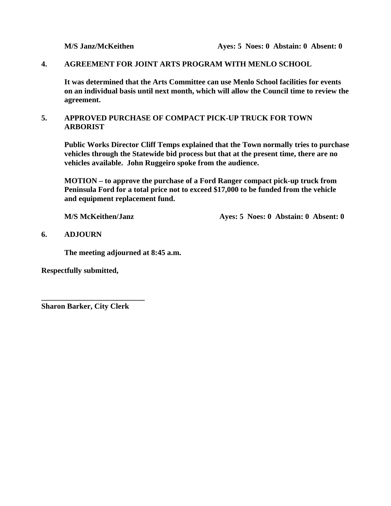#### **4. AGREEMENT FOR JOINT ARTS PROGRAM WITH MENLO SCHOOL**

 **It was determined that the Arts Committee can use Menlo School facilities for events on an individual basis until next month, which will allow the Council time to review the agreement.** 

### **5. APPROVED PURCHASE OF COMPACT PICK-UP TRUCK FOR TOWN ARBORIST**

 **Public Works Director Cliff Temps explained that the Town normally tries to purchase vehicles through the Statewide bid process but that at the present time, there are no vehicles available. John Ruggeiro spoke from the audience.** 

 **MOTION – to approve the purchase of a Ford Ranger compact pick-up truck from Peninsula Ford for a total price not to exceed \$17,000 to be funded from the vehicle and equipment replacement fund.** 

**M/S McKeithen/Janz Ayes: 5 Noes: 0 Abstain: 0 Absent: 0** 

#### **6. ADJOURN**

 **The meeting adjourned at 8:45 a.m.** 

**Respectfully submitted,** 

**Sharon Barker, City Clerk** 

**\_\_\_\_\_\_\_\_\_\_\_\_\_\_\_\_\_\_\_\_\_\_\_\_\_\_\_**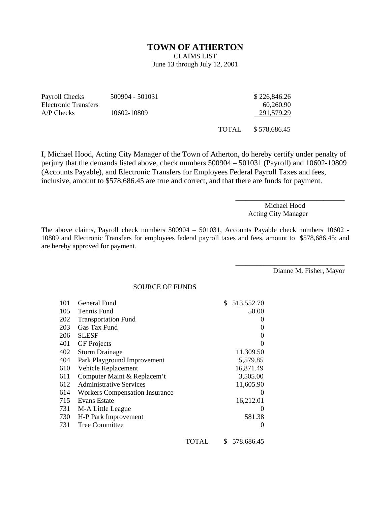#### **TOWN OF ATHERTON**

CLAIMS LIST

June 13 through July 12, 2001

| Payroll Checks       | 500904 - 501031 | \$226,846.26 |
|----------------------|-----------------|--------------|
| Electronic Transfers |                 | 60.260.90    |
| $A/P$ Checks         | 10602-10809     | 291,579.29   |
|                      |                 |              |

TOTAL \$ 578,686.45

I, Michael Hood, Acting City Manager of the Town of Atherton, do hereby certify under penalty of perjury that the demands listed above, check numbers 500904 – 501031 (Payroll) and 10602-10809 (Accounts Payable), and Electronic Transfers for Employees Federal Payroll Taxes and fees, inclusive, amount to \$578,686.45 are true and correct, and that there are funds for payment.

> Michael Hood Acting City Manager

\_\_\_\_\_\_\_\_\_\_\_\_\_\_\_\_\_\_\_\_\_\_\_\_\_\_\_\_\_\_\_

\_\_\_\_\_\_\_\_\_\_\_\_\_\_\_\_\_\_\_\_\_\_\_\_\_\_\_\_\_\_\_

The above claims, Payroll check numbers 500904 – 501031, Accounts Payable check numbers 10602 - 10809 and Electronic Transfers for employees federal payroll taxes and fees, amount to \$578,686.45; and are hereby approved for payment.

Dianne M. Fisher, Mayor

SOURCE OF FUNDS

| 101 | General Fund                          |       | \$<br>513,552.70  |
|-----|---------------------------------------|-------|-------------------|
| 105 | Tennis Fund                           |       | 50.00             |
| 202 | <b>Transportation Fund</b>            |       | $\theta$          |
| 203 | Gas Tax Fund                          |       | $\theta$          |
| 206 | <b>SLESF</b>                          |       | $\theta$          |
| 401 | <b>GF</b> Projects                    |       |                   |
| 402 | <b>Storm Drainage</b>                 |       | 11,309.50         |
| 404 | Park Playground Improvement           |       | 5,579.85          |
| 610 | Vehicle Replacement                   |       | 16,871.49         |
| 611 | Computer Maint & Replacem't           |       | 3,505.00          |
| 612 | <b>Administrative Services</b>        |       | 11,605.90         |
| 614 | <b>Workers Compensation Insurance</b> |       | $\theta$          |
| 715 | Evans Estate                          |       | 16,212.01         |
| 731 | M-A Little League                     |       | $\mathbf{\Omega}$ |
| 730 | H-P Park Improvement                  |       | 581.38            |
| 731 | <b>Tree Committee</b>                 |       |                   |
|     |                                       | TOTAL | \$<br>578.686.45  |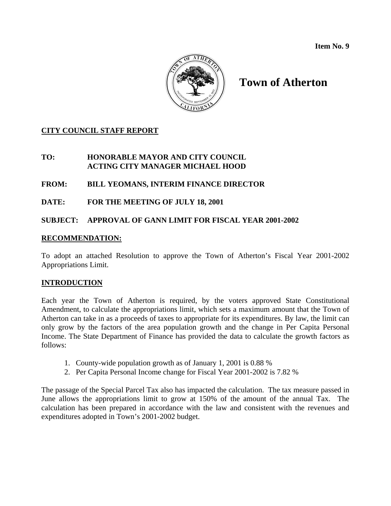**Item No. 9** 



# **Town of Atherton**

### **CITY COUNCIL STAFF REPORT**

### **TO: HONORABLE MAYOR AND CITY COUNCIL ACTING CITY MANAGER MICHAEL HOOD**

### **FROM: BILL YEOMANS, INTERIM FINANCE DIRECTOR**

### **DATE: FOR THE MEETING OF JULY 18, 2001**

### **SUBJECT: APPROVAL OF GANN LIMIT FOR FISCAL YEAR 2001-2002**

### **RECOMMENDATION:**

To adopt an attached Resolution to approve the Town of Atherton's Fiscal Year 2001-2002 Appropriations Limit.

### **INTRODUCTION**

Each year the Town of Atherton is required, by the voters approved State Constitutional Amendment, to calculate the appropriations limit, which sets a maximum amount that the Town of Atherton can take in as a proceeds of taxes to appropriate for its expenditures. By law, the limit can only grow by the factors of the area population growth and the change in Per Capita Personal Income. The State Department of Finance has provided the data to calculate the growth factors as follows:

- 1. County-wide population growth as of January 1, 2001 is 0.88 %
- 2. Per Capita Personal Income change for Fiscal Year 2001-2002 is 7.82 %

The passage of the Special Parcel Tax also has impacted the calculation. The tax measure passed in June allows the appropriations limit to grow at 150% of the amount of the annual Tax. The calculation has been prepared in accordance with the law and consistent with the revenues and expenditures adopted in Town's 2001-2002 budget.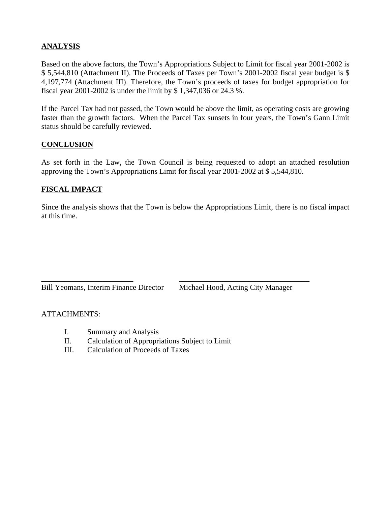### **ANALYSIS**

Based on the above factors, the Town's Appropriations Subject to Limit for fiscal year 2001-2002 is \$ 5,544,810 (Attachment II). The Proceeds of Taxes per Town's 2001-2002 fiscal year budget is \$ 4,197,774 (Attachment III). Therefore, the Town's proceeds of taxes for budget appropriation for fiscal year 2001-2002 is under the limit by \$ 1,347,036 or 24.3 %.

If the Parcel Tax had not passed, the Town would be above the limit, as operating costs are growing faster than the growth factors. When the Parcel Tax sunsets in four years, the Town's Gann Limit status should be carefully reviewed.

### **CONCLUSION**

As set forth in the Law, the Town Council is being requested to adopt an attached resolution approving the Town's Appropriations Limit for fiscal year 2001-2002 at \$ 5,544,810.

### **FISCAL IMPACT**

Since the analysis shows that the Town is below the Appropriations Limit, there is no fiscal impact at this time.

 $\overline{\phantom{a}}$  , and the contract of the contract of the contract of the contract of the contract of the contract of the contract of the contract of the contract of the contract of the contract of the contract of the contrac

Bill Yeomans, Interim Finance Director Michael Hood, Acting City Manager

#### ATTACHMENTS:

- I. Summary and Analysis
- II. Calculation of Appropriations Subject to Limit
- III. Calculation of Proceeds of Taxes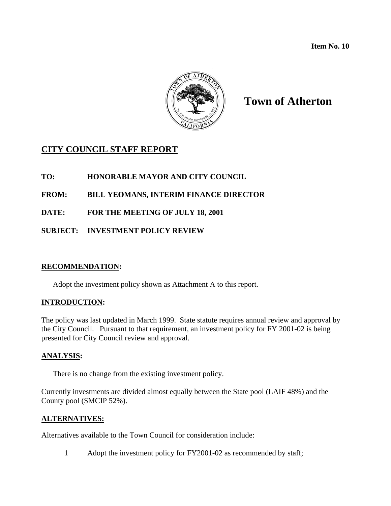**Item No. 10** 



# **Town of Atherton**

# **CITY COUNCIL STAFF REPORT**

**TO: HONORABLE MAYOR AND CITY COUNCIL** 

**FROM: BILL YEOMANS, INTERIM FINANCE DIRECTOR** 

**DATE: FOR THE MEETING OF JULY 18, 2001** 

**SUBJECT: INVESTMENT POLICY REVIEW** 

### **RECOMMENDATION:**

Adopt the investment policy shown as Attachment A to this report.

### **INTRODUCTION:**

The policy was last updated in March 1999. State statute requires annual review and approval by the City Council. Pursuant to that requirement, an investment policy for FY 2001-02 is being presented for City Council review and approval.

### **ANALYSIS:**

There is no change from the existing investment policy.

Currently investments are divided almost equally between the State pool (LAIF 48%) and the County pool (SMCIP 52%).

### **ALTERNATIVES:**

Alternatives available to the Town Council for consideration include:

1 Adopt the investment policy for FY2001-02 as recommended by staff;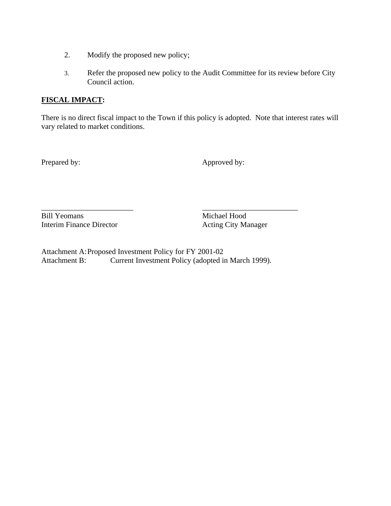- 2. Modify the proposed new policy;
- 3. Refer the proposed new policy to the Audit Committee for its review before City Council action.

### **FISCAL IMPACT:**

There is no direct fiscal impact to the Town if this policy is adopted. Note that interest rates will vary related to market conditions.

Prepared by: Approved by:

Bill Yeomans Michael Hood Interim Finance Director Acting City Manager

Attachment A: Proposed Investment Policy for FY 2001-02 Attachment B: Current Investment Policy (adopted in March 1999).

\_\_\_\_\_\_\_\_\_\_\_\_\_\_\_\_\_\_\_\_\_\_\_\_ \_\_\_\_\_\_\_\_\_\_\_\_\_\_\_\_\_\_\_\_\_\_\_\_\_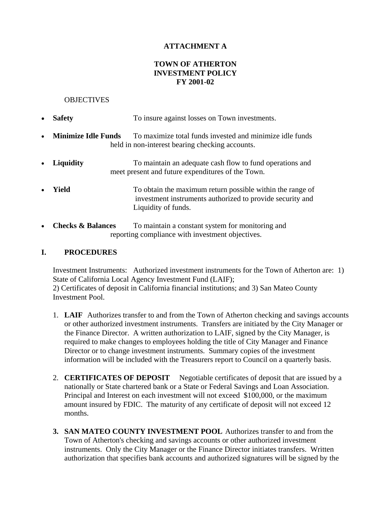### **ATTACHMENT A**

### **TOWN OF ATHERTON INVESTMENT POLICY FY 2001-02**

#### **OBJECTIVES**

- **Safety** To insure against losses on Town investments.
- **Minimize Idle Funds** To maximize total funds invested and minimize idle funds held in non-interest bearing checking accounts.
- **Liquidity** To maintain an adequate cash flow to fund operations and meet present and future expenditures of the Town.
- **Yield** To obtain the maximum return possible within the range of investment instruments authorized to provide security and Liquidity of funds.
- **Checks & Balances** To maintain a constant system for monitoring and reporting compliance with investment objectives.

### **I. PROCEDURES**

Investment Instruments: Authorized investment instruments for the Town of Atherton are: 1) State of California Local Agency Investment Fund (LAIF); 2) Certificates of deposit in California financial institutions; and 3) San Mateo County Investment Pool.

- 1. **LAIF** Authorizes transfer to and from the Town of Atherton checking and savings accounts or other authorized investment instruments. Transfers are initiated by the City Manager or the Finance Director. A written authorization to LAIF, signed by the City Manager, is required to make changes to employees holding the title of City Manager and Finance Director or to change investment instruments. Summary copies of the investment information will be included with the Treasurers report to Council on a quarterly basis.
- 2. **CERTIFICATES OF DEPOSIT** Negotiable certificates of deposit that are issued by a nationally or State chartered bank or a State or Federal Savings and Loan Association. Principal and Interest on each investment will not exceed \$100,000, or the maximum amount insured by FDIC. The maturity of any certificate of deposit will not exceed 12 months.
- **3. SAN MATEO COUNTY INVESTMENT POOL** Authorizes transfer to and from the Town of Atherton's checking and savings accounts or other authorized investment instruments. Only the City Manager or the Finance Director initiates transfers. Written authorization that specifies bank accounts and authorized signatures will be signed by the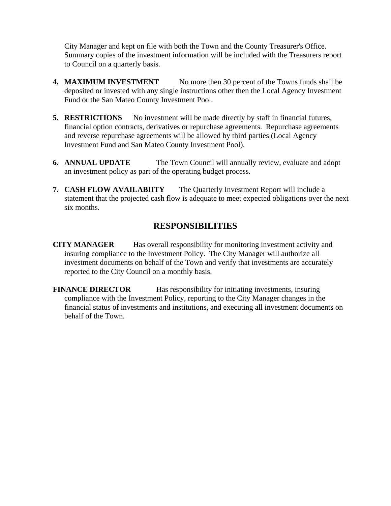City Manager and kept on file with both the Town and the County Treasurer's Office. Summary copies of the investment information will be included with the Treasurers report to Council on a quarterly basis.

- **4. MAXIMUM INVESTMENT** No more then 30 percent of the Towns funds shall be deposited or invested with any single instructions other then the Local Agency Investment Fund or the San Mateo County Investment Pool.
- **5. RESTRICTIONS** No investment will be made directly by staff in financial futures, financial option contracts, derivatives or repurchase agreements. Repurchase agreements and reverse repurchase agreements will be allowed by third parties (Local Agency Investment Fund and San Mateo County Investment Pool).
- **6. ANNUAL UPDATE** The Town Council will annually review, evaluate and adopt an investment policy as part of the operating budget process.
- **7. CASH FLOW AVAILABIITY** The Quarterly Investment Report will include a statement that the projected cash flow is adequate to meet expected obligations over the next six months.

## **RESPONSIBILITIES**

**CITY MANAGER** Has overall responsibility for monitoring investment activity and insuring compliance to the Investment Policy. The City Manager will authorize all investment documents on behalf of the Town and verify that investments are accurately reported to the City Council on a monthly basis.

**FINANCE DIRECTOR** Has responsibility for initiating investments, insuring compliance with the Investment Policy, reporting to the City Manager changes in the financial status of investments and institutions, and executing all investment documents on behalf of the Town.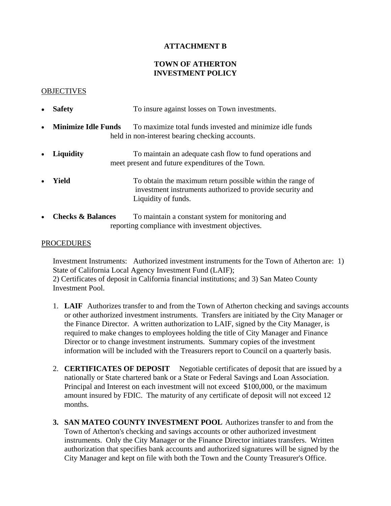### **ATTACHMENT B**

### **TOWN OF ATHERTON INVESTMENT POLICY**

#### **OBJECTIVES**

- **Safety** To insure against losses on Town investments.
- **Minimize Idle Funds** To maximize total funds invested and minimize idle funds held in non-interest bearing checking accounts.
- **Liquidity** To maintain an adequate cash flow to fund operations and meet present and future expenditures of the Town.
- **Yield** To obtain the maximum return possible within the range of investment instruments authorized to provide security and Liquidity of funds.
- **Checks & Balances** To maintain a constant system for monitoring and reporting compliance with investment objectives.

#### PROCEDURES

Investment Instruments: Authorized investment instruments for the Town of Atherton are: 1) State of California Local Agency Investment Fund (LAIF);

2) Certificates of deposit in California financial institutions; and 3) San Mateo County Investment Pool.

- 1. **LAIF** Authorizes transfer to and from the Town of Atherton checking and savings accounts or other authorized investment instruments. Transfers are initiated by the City Manager or the Finance Director. A written authorization to LAIF, signed by the City Manager, is required to make changes to employees holding the title of City Manager and Finance Director or to change investment instruments. Summary copies of the investment information will be included with the Treasurers report to Council on a quarterly basis.
- 2. **CERTIFICATES OF DEPOSIT** Negotiable certificates of deposit that are issued by a nationally or State chartered bank or a State or Federal Savings and Loan Association. Principal and Interest on each investment will not exceed \$100,000, or the maximum amount insured by FDIC. The maturity of any certificate of deposit will not exceed 12 months.
- **3. SAN MATEO COUNTY INVESTMENT POOL** Authorizes transfer to and from the Town of Atherton's checking and savings accounts or other authorized investment instruments. Only the City Manager or the Finance Director initiates transfers. Written authorization that specifies bank accounts and authorized signatures will be signed by the City Manager and kept on file with both the Town and the County Treasurer's Office.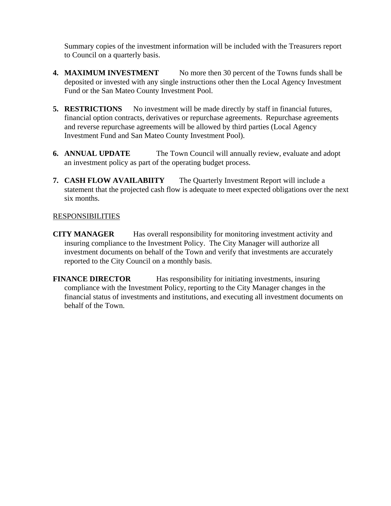Summary copies of the investment information will be included with the Treasurers report to Council on a quarterly basis.

- **4. MAXIMUM INVESTMENT** No more then 30 percent of the Towns funds shall be deposited or invested with any single instructions other then the Local Agency Investment Fund or the San Mateo County Investment Pool.
- **5. RESTRICTIONS** No investment will be made directly by staff in financial futures, financial option contracts, derivatives or repurchase agreements. Repurchase agreements and reverse repurchase agreements will be allowed by third parties (Local Agency Investment Fund and San Mateo County Investment Pool).
- **6. ANNUAL UPDATE** The Town Council will annually review, evaluate and adopt an investment policy as part of the operating budget process.
- **7. CASH FLOW AVAILABIITY** The Quarterly Investment Report will include a statement that the projected cash flow is adequate to meet expected obligations over the next six months.

### RESPONSIBILITIES

**CITY MANAGER** Has overall responsibility for monitoring investment activity and insuring compliance to the Investment Policy. The City Manager will authorize all investment documents on behalf of the Town and verify that investments are accurately reported to the City Council on a monthly basis.

**FINANCE DIRECTOR** Has responsibility for initiating investments, insuring compliance with the Investment Policy, reporting to the City Manager changes in the financial status of investments and institutions, and executing all investment documents on behalf of the Town.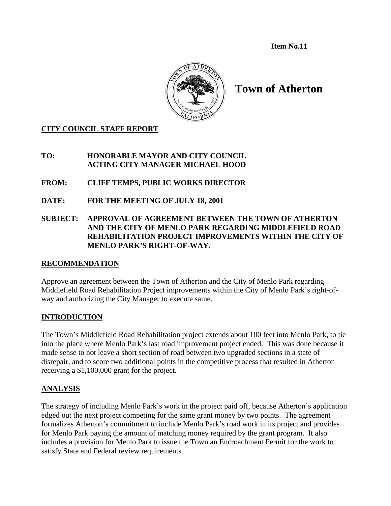**Item No.11** 



**Town of Atherton** 

### **CITY COUNCIL STAFF REPORT**

### **TO: HONORABLE MAYOR AND CITY COUNCIL ACTING CITY MANAGER MICHAEL HOOD**

**FROM: CLIFF TEMPS, PUBLIC WORKS DIRECTOR** 

- **DATE: FOR THE MEETING OF JULY 18, 2001**
- **SUBJECT: APPROVAL OF AGREEMENT BETWEEN THE TOWN OF ATHERTON AND THE CITY OF MENLO PARK REGARDING MIDDLEFIELD ROAD REHABILITATION PROJECT IMPROVEMENTS WITHIN THE CITY OF MENLO PARK'S RIGHT-OF-WAY.**

### **RECOMMENDATION**

Approve an agreement between the Town of Atherton and the City of Menlo Park regarding Middlefield Road Rehabilitation Project improvements within the City of Menlo Park's right-ofway and authorizing the City Manager to execute same.

### **INTRODUCTION**

The Town's Middlefield Road Rehabilitation project extends about 100 feet into Menlo Park, to tie into the place where Menlo Park's last road improvement project ended. This was done because it made sense to not leave a short section of road between two upgraded sections in a state of disrepair, and to score two additional points in the competitive process that resulted in Atherton receiving a \$1,100,000 grant for the project.

### **ANALYSIS**

The strategy of including Menlo Park's work in the project paid off, because Atherton's application edged out the next project competing for the same grant money by two points. The agreement formalizes Atherton's commitment to include Menlo Park's road work in its project and provides for Menlo Park paying the amount of matching money required by the grant program. It also includes a provision for Menlo Park to issue the Town an Encroachment Permit for the work to satisfy State and Federal review requirements.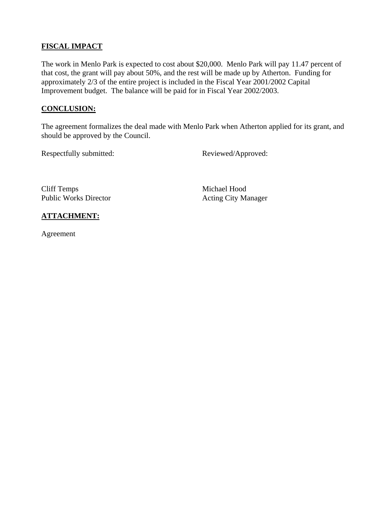### **FISCAL IMPACT**

The work in Menlo Park is expected to cost about \$20,000. Menlo Park will pay 11.47 percent of that cost, the grant will pay about 50%, and the rest will be made up by Atherton. Funding for approximately 2/3 of the entire project is included in the Fiscal Year 2001/2002 Capital Improvement budget. The balance will be paid for in Fiscal Year 2002/2003.

### **CONCLUSION:**

The agreement formalizes the deal made with Menlo Park when Atherton applied for its grant, and should be approved by the Council.

Respectfully submitted: Reviewed/Approved:

Cliff Temps Michael Hood Public Works Director **Acting City Manager** 

### **ATTACHMENT:**

Agreement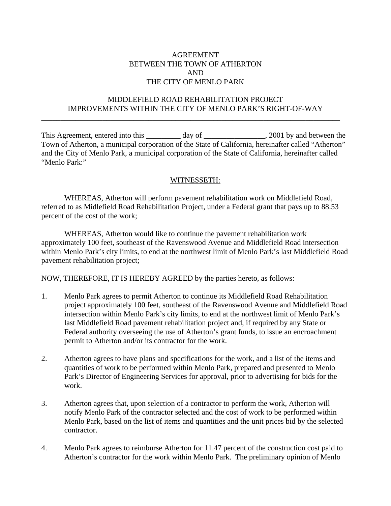### AGREEMENT BETWEEN THE TOWN OF ATHERTON AND THE CITY OF MENLO PARK

### MIDDLEFIELD ROAD REHABILITATION PROJECT IMPROVEMENTS WITHIN THE CITY OF MENLO PARK'S RIGHT-OF-WAY

\_\_\_\_\_\_\_\_\_\_\_\_\_\_\_\_\_\_\_\_\_\_\_\_\_\_\_\_\_\_\_\_\_\_\_\_\_\_\_\_\_\_\_\_\_\_\_\_\_\_\_\_\_\_\_\_\_\_\_\_\_\_\_\_\_\_\_\_\_\_\_\_\_\_\_\_\_\_

This Agreement, entered into this \_\_\_\_\_\_\_ day of \_\_\_\_\_\_\_\_\_\_\_\_\_\_\_, 2001 by and between the Town of Atherton, a municipal corporation of the State of California, hereinafter called "Atherton" and the City of Menlo Park, a municipal corporation of the State of California, hereinafter called "Menlo Park:"

#### WITNESSETH:

 WHEREAS, Atherton will perform pavement rehabilitation work on Middlefield Road, referred to as Midlefield Road Rehabilitation Project, under a Federal grant that pays up to 88.53 percent of the cost of the work;

 WHEREAS, Atherton would like to continue the pavement rehabilitation work approximately 100 feet, southeast of the Ravenswood Avenue and Middlefield Road intersection within Menlo Park's city limits, to end at the northwest limit of Menlo Park's last Middlefield Road pavement rehabilitation project;

NOW, THEREFORE, IT IS HEREBY AGREED by the parties hereto, as follows:

- 1. Menlo Park agrees to permit Atherton to continue its Middlefield Road Rehabilitation project approximately 100 feet, southeast of the Ravenswood Avenue and Middlefield Road intersection within Menlo Park's city limits, to end at the northwest limit of Menlo Park's last Middlefield Road pavement rehabilitation project and, if required by any State or Federal authority overseeing the use of Atherton's grant funds, to issue an encroachment permit to Atherton and/or its contractor for the work.
- 2. Atherton agrees to have plans and specifications for the work, and a list of the items and quantities of work to be performed within Menlo Park, prepared and presented to Menlo Park's Director of Engineering Services for approval, prior to advertising for bids for the work.
- 3. Atherton agrees that, upon selection of a contractor to perform the work, Atherton will notify Menlo Park of the contractor selected and the cost of work to be performed within Menlo Park, based on the list of items and quantities and the unit prices bid by the selected contractor.
- 4. Menlo Park agrees to reimburse Atherton for 11.47 percent of the construction cost paid to Atherton's contractor for the work within Menlo Park. The preliminary opinion of Menlo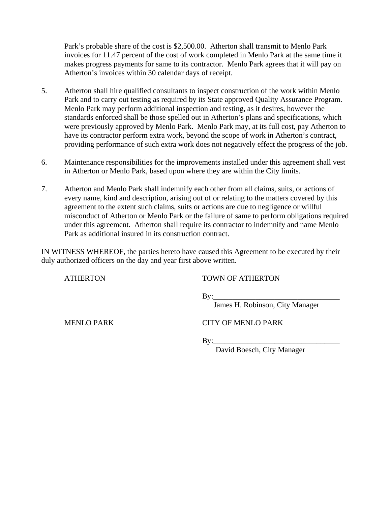Park's probable share of the cost is \$2,500.00. Atherton shall transmit to Menlo Park invoices for 11.47 percent of the cost of work completed in Menlo Park at the same time it makes progress payments for same to its contractor. Menlo Park agrees that it will pay on Atherton's invoices within 30 calendar days of receipt.

- 5. Atherton shall hire qualified consultants to inspect construction of the work within Menlo Park and to carry out testing as required by its State approved Quality Assurance Program. Menlo Park may perform additional inspection and testing, as it desires, however the standards enforced shall be those spelled out in Atherton's plans and specifications, which were previously approved by Menlo Park. Menlo Park may, at its full cost, pay Atherton to have its contractor perform extra work, beyond the scope of work in Atherton's contract, providing performance of such extra work does not negatively effect the progress of the job.
- 6. Maintenance responsibilities for the improvements installed under this agreement shall vest in Atherton or Menlo Park, based upon where they are within the City limits.
- 7. Atherton and Menlo Park shall indemnify each other from all claims, suits, or actions of every name, kind and description, arising out of or relating to the matters covered by this agreement to the extent such claims, suits or actions are due to negligence or willful misconduct of Atherton or Menlo Park or the failure of same to perform obligations required under this agreement. Atherton shall require its contractor to indemnify and name Menlo Park as additional insured in its construction contract.

IN WITNESS WHEREOF, the parties hereto have caused this Agreement to be executed by their duly authorized officers on the day and year first above written.

ATHERTON TOWN OF ATHERTON

 $\rm\,By:\,$ 

James H. Robinson, City Manager

MENLO PARK CITY OF MENLO PARK

By:\_\_\_\_\_\_\_\_\_\_\_\_\_\_\_\_\_\_\_\_\_\_\_\_\_\_\_\_\_\_\_\_\_

David Boesch, City Manager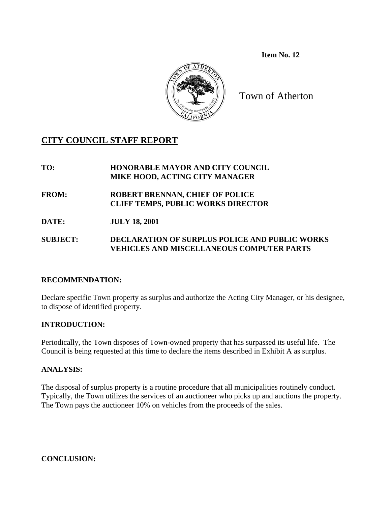**Item No. 12** 



Town of Atherton

# **CITY COUNCIL STAFF REPORT**

**TO: HONORABLE MAYOR AND CITY COUNCIL MIKE HOOD, ACTING CITY MANAGER** 

**FROM: ROBERT BRENNAN, CHIEF OF POLICE CLIFF TEMPS, PUBLIC WORKS DIRECTOR** 

**DATE: JULY 18, 2001** 

**SUBJECT: DECLARATION OF SURPLUS POLICE AND PUBLIC WORKS VEHICLES AND MISCELLANEOUS COMPUTER PARTS** 

### **RECOMMENDATION:**

Declare specific Town property as surplus and authorize the Acting City Manager, or his designee, to dispose of identified property.

### **INTRODUCTION:**

Periodically, the Town disposes of Town-owned property that has surpassed its useful life. The Council is being requested at this time to declare the items described in Exhibit A as surplus.

### **ANALYSIS:**

The disposal of surplus property is a routine procedure that all municipalities routinely conduct. Typically, the Town utilizes the services of an auctioneer who picks up and auctions the property. The Town pays the auctioneer 10% on vehicles from the proceeds of the sales.

**CONCLUSION:**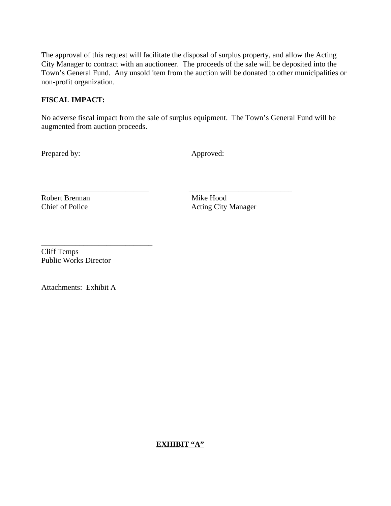The approval of this request will facilitate the disposal of surplus property, and allow the Acting City Manager to contract with an auctioneer. The proceeds of the sale will be deposited into the Town's General Fund. Any unsold item from the auction will be donated to other municipalities or non-profit organization.

### **FISCAL IMPACT:**

No adverse fiscal impact from the sale of surplus equipment. The Town's General Fund will be augmented from auction proceeds.

\_\_\_\_\_\_\_\_\_\_\_\_\_\_\_\_\_\_\_\_\_\_\_\_\_\_\_\_ \_\_\_\_\_\_\_\_\_\_\_\_\_\_\_\_\_\_\_\_\_\_\_\_\_\_\_

Prepared by: Approved:

Robert Brennan Mike Hood

Chief of Police Acting City Manager

Cliff Temps Public Works Director

\_\_\_\_\_\_\_\_\_\_\_\_\_\_\_\_\_\_\_\_\_\_\_\_\_\_\_\_\_

Attachments: Exhibit A

### **EXHIBIT "A"**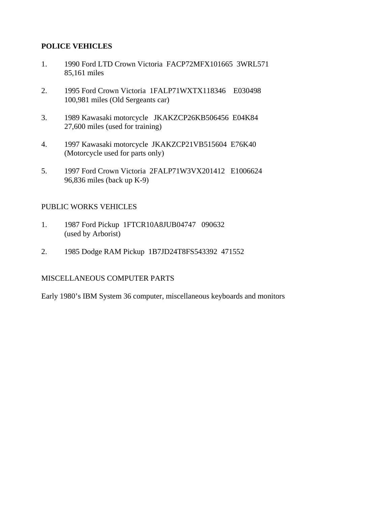### **POLICE VEHICLES**

- 1. 1990 Ford LTD Crown Victoria FACP72MFX101665 3WRL571 85,161 miles
- 2. 1995 Ford Crown Victoria 1FALP71WXTX118346 E030498 100,981 miles (Old Sergeants car)
- 3. 1989 Kawasaki motorcycle JKAKZCP26KB506456 E04K84 27,600 miles (used for training)
- 4. 1997 Kawasaki motorcycle JKAKZCP21VB515604 E76K40 (Motorcycle used for parts only)
- 5. 1997 Ford Crown Victoria 2FALP71W3VX201412 E1006624 96,836 miles (back up K-9)

### PUBLIC WORKS VEHICLES

- 1. 1987 Ford Pickup 1FTCR10A8JUB04747 090632 (used by Arborist)
- 2. 1985 Dodge RAM Pickup 1B7JD24T8FS543392 471552

### MISCELLANEOUS COMPUTER PARTS

Early 1980's IBM System 36 computer, miscellaneous keyboards and monitors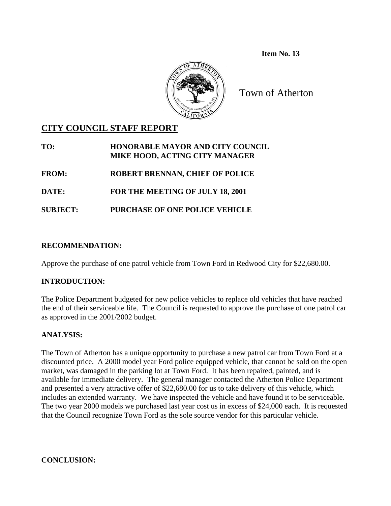**Item No. 13** 



Town of Atherton

# **CITY COUNCIL STAFF REPORT**

| TO:             | <b>HONORABLE MAYOR AND CITY COUNCIL</b><br>MIKE HOOD, ACTING CITY MANAGER |
|-----------------|---------------------------------------------------------------------------|
| <b>FROM:</b>    | <b>ROBERT BRENNAN, CHIEF OF POLICE</b>                                    |
| <b>DATE:</b>    | FOR THE MEETING OF JULY 18, 2001                                          |
| <b>SUBJECT:</b> | PURCHASE OF ONE POLICE VEHICLE                                            |

### **RECOMMENDATION:**

Approve the purchase of one patrol vehicle from Town Ford in Redwood City for \$22,680.00.

### **INTRODUCTION:**

The Police Department budgeted for new police vehicles to replace old vehicles that have reached the end of their serviceable life. The Council is requested to approve the purchase of one patrol car as approved in the 2001/2002 budget.

## **ANALYSIS:**

The Town of Atherton has a unique opportunity to purchase a new patrol car from Town Ford at a discounted price. A 2000 model year Ford police equipped vehicle, that cannot be sold on the open market, was damaged in the parking lot at Town Ford. It has been repaired, painted, and is available for immediate delivery. The general manager contacted the Atherton Police Department and presented a very attractive offer of \$22,680.00 for us to take delivery of this vehicle, which includes an extended warranty. We have inspected the vehicle and have found it to be serviceable. The two year 2000 models we purchased last year cost us in excess of \$24,000 each. It is requested that the Council recognize Town Ford as the sole source vendor for this particular vehicle.

**CONCLUSION:**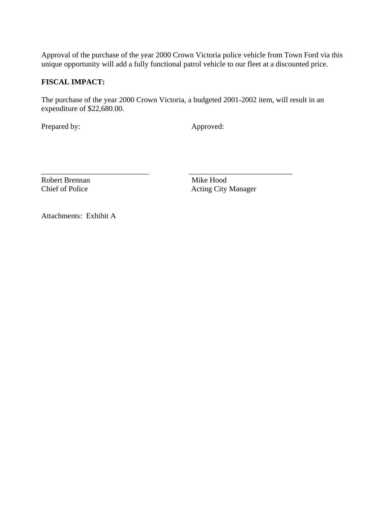Approval of the purchase of the year 2000 Crown Victoria police vehicle from Town Ford via this unique opportunity will add a fully functional patrol vehicle to our fleet at a discounted price.

### **FISCAL IMPACT:**

The purchase of the year 2000 Crown Victoria, a budgeted 2001-2002 item, will result in an expenditure of \$22,680.00.

Prepared by: Approved:

\_\_\_\_\_\_\_\_\_\_\_\_\_\_\_\_\_\_\_\_\_\_\_\_\_\_\_\_ \_\_\_\_\_\_\_\_\_\_\_\_\_\_\_\_\_\_\_\_\_\_\_\_\_\_\_ Robert Brennan Mike Hood

Chief of Police Acting City Manager

Attachments: Exhibit A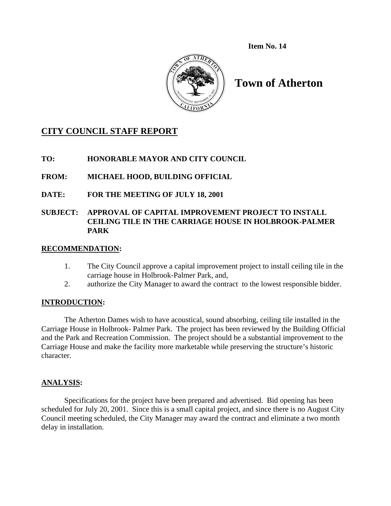**Item No. 14**



# **Town of Atherton**

# **CITY COUNCIL STAFF REPORT**

**TO: HONORABLE MAYOR AND CITY COUNCIL** 

**FROM: MICHAEL HOOD, BUILDING OFFICIAL** 

**DATE: FOR THE MEETING OF JULY 18, 2001** 

### **SUBJECT: APPROVAL OF CAPITAL IMPROVEMENT PROJECT TO INSTALL CEILING TILE IN THE CARRIAGE HOUSE IN HOLBROOK-PALMER PARK**

### **RECOMMENDATION:**

- 1. The City Council approve a capital improvement project to install ceiling tile in the carriage house in Holbrook-Palmer Park, and,
- 2. authorize the City Manager to award the contract to the lowest responsible bidder.

### **INTRODUCTION:**

 The Atherton Dames wish to have acoustical, sound absorbing, ceiling tile installed in the Carriage House in Holbrook- Palmer Park. The project has been reviewed by the Building Official and the Park and Recreation Commission. The project should be a substantial improvement to the Carriage House and make the facility more marketable while preserving the structure's historic character.

### **ANALYSIS:**

Specifications for the project have been prepared and advertised. Bid opening has been scheduled for July 20, 2001. Since this is a small capital project, and since there is no August City Council meeting scheduled, the City Manager may award the contract and eliminate a two month delay in installation.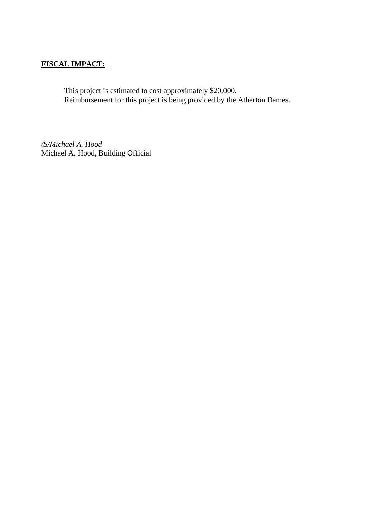### **FISCAL IMPACT:**

 This project is estimated to cost approximately \$20,000. Reimbursement for this project is being provided by the Atherton Dames.

*/S/Michael A. Hood* Michael A. Hood, Building Official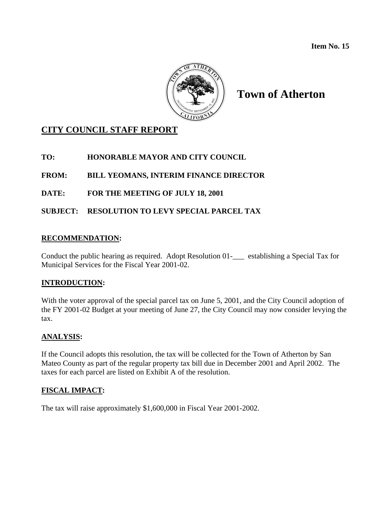**Item No. 15** 



# **Town of Atherton**

# **CITY COUNCIL STAFF REPORT**

### **TO: HONORABLE MAYOR AND CITY COUNCIL**

**FROM: BILL YEOMANS, INTERIM FINANCE DIRECTOR** 

**DATE: FOR THE MEETING OF JULY 18, 2001** 

**SUBJECT: RESOLUTION TO LEVY SPECIAL PARCEL TAX** 

### **RECOMMENDATION:**

Conduct the public hearing as required. Adopt Resolution 01-\_\_\_ establishing a Special Tax for Municipal Services for the Fiscal Year 2001-02.

### **INTRODUCTION:**

With the voter approval of the special parcel tax on June 5, 2001, and the City Council adoption of the FY 2001-02 Budget at your meeting of June 27, the City Council may now consider levying the tax.

### **ANALYSIS:**

If the Council adopts this resolution, the tax will be collected for the Town of Atherton by San Mateo County as part of the regular property tax bill due in December 2001 and April 2002. The taxes for each parcel are listed on Exhibit A of the resolution.

### **FISCAL IMPACT:**

The tax will raise approximately \$1,600,000 in Fiscal Year 2001-2002.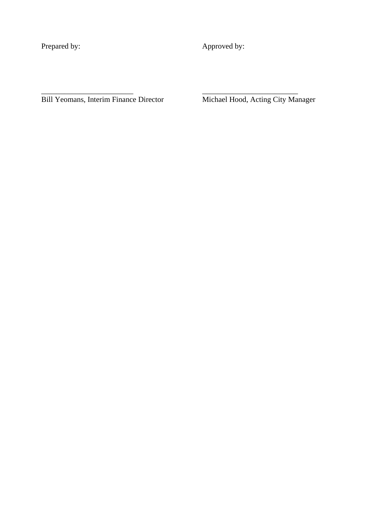Prepared by: Approved by:

\_\_\_\_\_\_\_\_\_\_\_\_\_\_\_\_\_\_\_\_\_\_\_\_ \_\_\_\_\_\_\_\_\_\_\_\_\_\_\_\_\_\_\_\_\_\_\_\_\_

Bill Yeomans, Interim Finance Director Michael Hood, Acting City Manager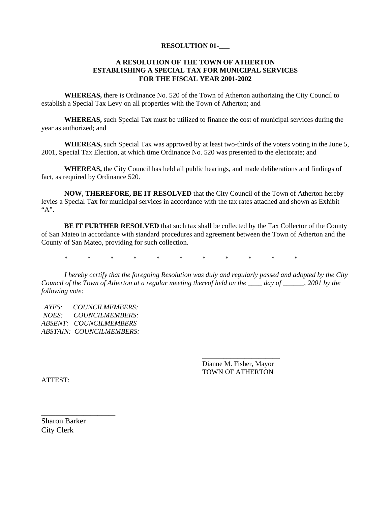#### **RESOLUTION 01-\_\_\_**

#### **A RESOLUTION OF THE TOWN OF ATHERTON ESTABLISHING A SPECIAL TAX FOR MUNICIPAL SERVICES FOR THE FISCAL YEAR 2001-2002**

 **WHEREAS,** there is Ordinance No. 520 of the Town of Atherton authorizing the City Council to establish a Special Tax Levy on all properties with the Town of Atherton; and

**WHEREAS,** such Special Tax must be utilized to finance the cost of municipal services during the year as authorized; and

**WHEREAS,** such Special Tax was approved by at least two-thirds of the voters voting in the June 5, 2001, Special Tax Election, at which time Ordinance No. 520 was presented to the electorate; and

**WHEREAS,** the City Council has held all public hearings, and made deliberations and findings of fact, as required by Ordinance 520.

**NOW, THEREFORE, BE IT RESOLVED** that the City Council of the Town of Atherton hereby levies a Special Tax for municipal services in accordance with the tax rates attached and shown as Exhibit  $``A"$ 

**BE IT FURTHER RESOLVED** that such tax shall be collected by the Tax Collector of the County of San Mateo in accordance with standard procedures and agreement between the Town of Atherton and the County of San Mateo, providing for such collection.

\* \* \* \* \* \* \* \* \* \* \*

 *\_\_\_\_\_\_\_\_\_\_\_\_\_\_\_\_\_\_\_\_\_\_*

*I hereby certify that the foregoing Resolution was duly and regularly passed and adopted by the City Council of the Town of Atherton at a regular meeting thereof held on the \_\_\_\_ day of \_\_\_\_\_\_, 2001 by the following vote:* 

*AYES: COUNCILMEMBERS: NOES: COUNCILMEMBERS: ABSENT: COUNCILMEMBERS ABSTAIN: COUNCILMEMBERS:* 

> Dianne M. Fisher, Mayor TOWN OF ATHERTON

ATTEST:

Sharon Barker City Clerk

\_\_\_\_\_\_\_\_\_\_\_\_\_\_\_\_\_\_\_\_\_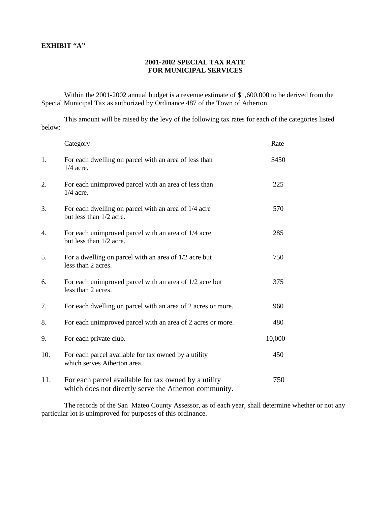#### **EXHIBIT "A"**

#### **2001-2002 SPECIAL TAX RATE FOR MUNICIPAL SERVICES**

 Within the 2001-2002 annual budget is a revenue estimate of \$1,600,000 to be derived from the Special Municipal Tax as authorized by Ordinance 487 of the Town of Atherton.

 This amount will be raised by the levy of the following tax rates for each of the categories listed below:

|     | <b>Category</b>                                                                                               | Rate   |
|-----|---------------------------------------------------------------------------------------------------------------|--------|
| 1.  | For each dwelling on parcel with an area of less than<br>$1/4$ acre.                                          | \$450  |
| 2.  | For each unimproved parcel with an area of less than<br>$1/4$ acre.                                           | 225    |
| 3.  | For each dwelling on parcel with an area of 1/4 acre<br>but less than 1/2 acre.                               | 570    |
| 4.  | For each unimproved parcel with an area of 1/4 acre<br>but less than 1/2 acre.                                | 285    |
| 5.  | For a dwelling on parcel with an area of $1/2$ acre but<br>less than 2 acres.                                 | 750    |
| 6.  | For each unimproved parcel with an area of 1/2 acre but<br>less than 2 acres.                                 | 375    |
| 7.  | For each dwelling on parcel with an area of 2 acres or more.                                                  | 960    |
| 8.  | For each unimproved parcel with an area of 2 acres or more.                                                   | 480    |
| 9.  | For each private club.                                                                                        | 10,000 |
| 10. | For each parcel available for tax owned by a utility<br>which serves Atherton area.                           | 450    |
| 11. | For each parcel available for tax owned by a utility<br>which does not directly serve the Atherton community. | 750    |

 The records of the San Mateo County Assessor, as of each year, shall determine whether or not any particular lot is unimproved for purposes of this ordinance.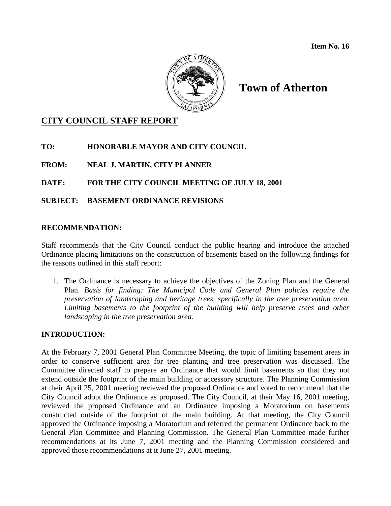

# **Town of Atherton**

## **CITY COUNCIL STAFF REPORT**

**TO: HONORABLE MAYOR AND CITY COUNCIL** 

**FROM: NEAL J. MARTIN, CITY PLANNER** 

**DATE: FOR THE CITY COUNCIL MEETING OF JULY 18, 2001** 

### **SUBJECT: BASEMENT ORDINANCE REVISIONS**

### **RECOMMENDATION:**

Staff recommends that the City Council conduct the public hearing and introduce the attached Ordinance placing limitations on the construction of basements based on the following findings for the reasons outlined in this staff report:

1. The Ordinance is necessary to achieve the objectives of the Zoning Plan and the General Plan. *Basis for finding: The Municipal Code and General Plan policies require the preservation of landscaping and heritage trees, specifically in the tree preservation area. Limiting basements to the footprint of the building will help preserve trees and other landscaping in the tree preservation area.*

### **INTRODUCTION:**

At the February 7, 2001 General Plan Committee Meeting, the topic of limiting basement areas in order to conserve sufficient area for tree planting and tree preservation was discussed. The Committee directed staff to prepare an Ordinance that would limit basements so that they not extend outside the footprint of the main building or accessory structure. The Planning Commission at their April 25, 2001 meeting reviewed the proposed Ordinance and voted to recommend that the City Council adopt the Ordinance as proposed. The City Council, at their May 16, 2001 meeting, reviewed the proposed Ordinance and an Ordinance imposing a Moratorium on basements constructed outside of the footprint of the main building. At that meeting, the City Council approved the Ordinance imposing a Moratorium and referred the permanent Ordinance back to the General Plan Committee and Planning Commission. The General Plan Committee made further recommendations at its June 7, 2001 meeting and the Planning Commission considered and approved those recommendations at it June 27, 2001 meeting.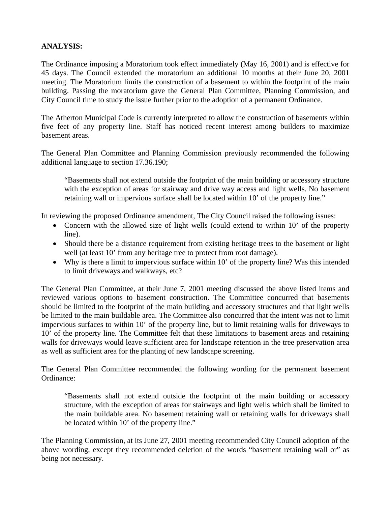### **ANALYSIS:**

The Ordinance imposing a Moratorium took effect immediately (May 16, 2001) and is effective for 45 days. The Council extended the moratorium an additional 10 months at their June 20, 2001 meeting. The Moratorium limits the construction of a basement to within the footprint of the main building. Passing the moratorium gave the General Plan Committee, Planning Commission, and City Council time to study the issue further prior to the adoption of a permanent Ordinance.

The Atherton Municipal Code is currently interpreted to allow the construction of basements within five feet of any property line. Staff has noticed recent interest among builders to maximize basement areas.

The General Plan Committee and Planning Commission previously recommended the following additional language to section 17.36.190;

 "Basements shall not extend outside the footprint of the main building or accessory structure with the exception of areas for stairway and drive way access and light wells. No basement retaining wall or impervious surface shall be located within 10' of the property line."

In reviewing the proposed Ordinance amendment, The City Council raised the following issues:

- Concern with the allowed size of light wells (could extend to within 10' of the property line).
- Should there be a distance requirement from existing heritage trees to the basement or light well (at least 10' from any heritage tree to protect from root damage).
- Why is there a limit to impervious surface within 10' of the property line? Was this intended to limit driveways and walkways, etc?

The General Plan Committee, at their June 7, 2001 meeting discussed the above listed items and reviewed various options to basement construction. The Committee concurred that basements should be limited to the footprint of the main building and accessory structures and that light wells be limited to the main buildable area. The Committee also concurred that the intent was not to limit impervious surfaces to within 10' of the property line, but to limit retaining walls for driveways to 10' of the property line. The Committee felt that these limitations to basement areas and retaining walls for driveways would leave sufficient area for landscape retention in the tree preservation area as well as sufficient area for the planting of new landscape screening.

The General Plan Committee recommended the following wording for the permanent basement Ordinance:

 "Basements shall not extend outside the footprint of the main building or accessory structure, with the exception of areas for stairways and light wells which shall be limited to the main buildable area. No basement retaining wall or retaining walls for driveways shall be located within 10' of the property line."

The Planning Commission, at its June 27, 2001 meeting recommended City Council adoption of the above wording, except they recommended deletion of the words "basement retaining wall or" as being not necessary.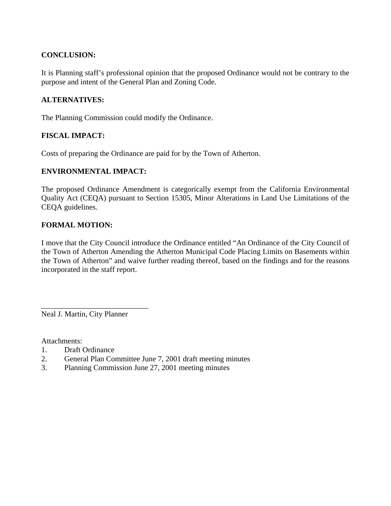### **CONCLUSION:**

It is Planning staff's professional opinion that the proposed Ordinance would not be contrary to the purpose and intent of the General Plan and Zoning Code.

### **ALTERNATIVES:**

The Planning Commission could modify the Ordinance.

### **FISCAL IMPACT:**

Costs of preparing the Ordinance are paid for by the Town of Atherton.

#### **ENVIRONMENTAL IMPACT:**

The proposed Ordinance Amendment is categorically exempt from the California Environmental Quality Act (CEQA) pursuant to Section 15305, Minor Alterations in Land Use Limitations of the CEQA guidelines.

#### **FORMAL MOTION:**

I move that the City Council introduce the Ordinance entitled "An Ordinance of the City Council of the Town of Atherton Amending the Atherton Municipal Code Placing Limits on Basements within the Town of Atherton" and waive further reading thereof, based on the findings and for the reasons incorporated in the staff report.

Neal J. Martin, City Planner

\_\_\_\_\_\_\_\_\_\_\_\_\_\_\_\_\_\_\_\_\_\_\_\_\_\_\_\_

Attachments:

- 1. Draft Ordinance
- 2. General Plan Committee June 7, 2001 draft meeting minutes
- 3. Planning Commission June 27, 2001 meeting minutes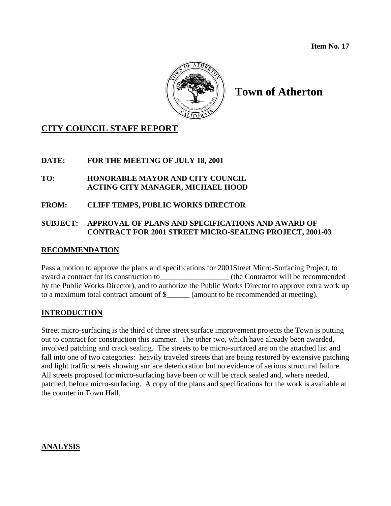**Item No. 17** 



# **Town of Atherton**

## **CITY COUNCIL STAFF REPORT**

### **DATE: FOR THE MEETING OF JULY 18, 2001**

### **TO: HONORABLE MAYOR AND CITY COUNCIL ACTING CITY MANAGER, MICHAEL HOOD**

### **FROM: CLIFF TEMPS, PUBLIC WORKS DIRECTOR**

### **SUBJECT: APPROVAL OF PLANS AND SPECIFICATIONS AND AWARD OF CONTRACT FOR 2001 STREET MICRO-SEALING PROJECT, 2001-03**

### **RECOMMENDATION**

Pass a motion to approve the plans and specifications for 2001Street Micro-Surfacing Project, to award a contract for its construction to  $(the Contract or will be recommended)$ by the Public Works Director), and to authorize the Public Works Director to approve extra work up to a maximum total contract amount of \$\_\_\_\_\_\_ (amount to be recommended at meeting).

### **INTRODUCTION**

Street micro-surfacing is the third of three street surface improvement projects the Town is putting out to contract for construction this summer. The other two, which have already been awarded, involved patching and crack sealing. The streets to be micro-surfaced are on the attached list and fall into one of two categories: heavily traveled streets that are being restored by extensive patching and light traffic streets showing surface deterioration but no evidence of serious structural failure. All streets proposed for micro-surfacing have been or will be crack sealed and, where needed, patched, before micro-surfacing. A copy of the plans and specifications for the work is available at the counter in Town Hall.

### **ANALYSIS**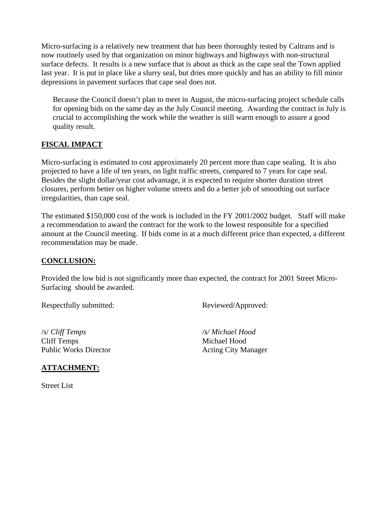Micro-surfacing is a relatively new treatment that has been thoroughly tested by Caltrans and is now routinely used by that organization on minor highways and highways with non-structural surface defects. It results is a new surface that is about as thick as the cape seal the Town applied last year. It is put in place like a slurry seal, but dries more quickly and has an ability to fill minor depressions in pavement surfaces that cape seal does not.

Because the Council doesn't plan to meet in August, the micro-surfacing project schedule calls for opening bids on the same day as the July Council meeting. Awarding the contract in July is crucial to accomplishing the work while the weather is still warm enough to assure a good quality result.

### **FISCAL IMPACT**

Micro-surfacing is estimated to cost approximately 20 percent more than cape sealing. It is also projected to have a life of ten years, on light traffic streets, compared to 7 years for cape seal. Besides the slight dollar/year cost advantage, it is expected to require shorter duration street closures, perform better on higher volume streets and do a better job of smoothing out surface irregularities, than cape seal.

The estimated \$150,000 cost of the work is included in the FY 2001/2002 budget. Staff will make a recommendation to award the contract for the work to the lowest responsible for a specified amount at the Council meeting. If bids come in at a much different price than expected, a different recommendation may be made.

### **CONCLUSION:**

Provided the low bid is not significantly more than expected, the contract for 2001 Street Micro-Surfacing should be awarded.

Respectfully submitted: Reviewed/Approved:

/s/ *Cliff Temps /s/ Michael Hood*  Cliff Temps Michael Hood Public Works Director Acting City Manager

### **ATTACHMENT:**

Street List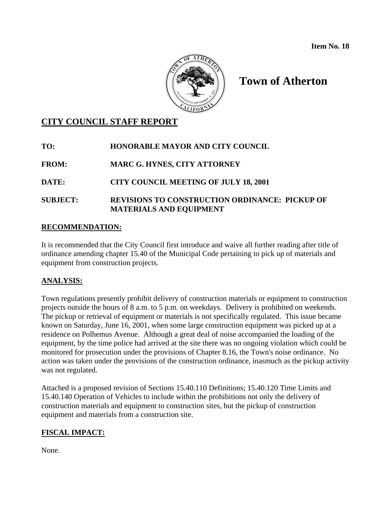

# **Town of Atherton**

## **CITY COUNCIL STAFF REPORT**

**TO: HONORABLE MAYOR AND CITY COUNCIL** 

**FROM: MARC G. HYNES, CITY ATTORNEY** 

**DATE: CITY COUNCIL MEETING OF JULY 18, 2001** 

**SUBJECT: REVISIONS TO CONSTRUCTION ORDINANCE: PICKUP OF MATERIALS AND EQUIPMENT** 

### **RECOMMENDATION:**

It is recommended that the City Council first introduce and waive all further reading after title of ordinance amending chapter 15.40 of the Municipal Code pertaining to pick up of materials and equipment from construction projects.

### **ANALYSIS:**

Town regulations presently prohibit delivery of construction materials or equipment to construction projects outside the hours of 8 a.m. to 5 p.m. on weekdays. Delivery is prohibited on weekends. The pickup or retrieval of equipment or materials is not specifically regulated. This issue became known on Saturday, June 16, 2001, when some large construction equipment was picked up at a residence on Polhemus Avenue. Although a great deal of noise accompanied the loading of the equipment, by the time police had arrived at the site there was no ongoing violation which could be monitored for prosecution under the provisions of Chapter 8.16, the Town's noise ordinance. No action was taken under the provisions of the construction ordinance, inasmuch as the pickup activity was not regulated.

Attached is a proposed revision of Sections 15.40.110 Definitions; 15.40.120 Time Limits and 15.40.140 Operation of Vehicles to include within the prohibitions not only the delivery of construction materials and equipment to construction sites, but the pickup of construction equipment and materials from a construction site.

## **FISCAL IMPACT:**

None.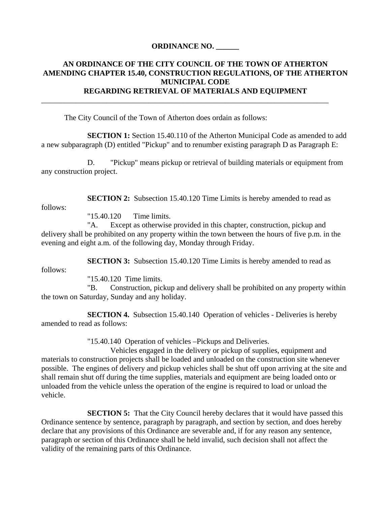#### **ORDINANCE NO. \_\_\_\_\_\_**

### **AN ORDINANCE OF THE CITY COUNCIL OF THE TOWN OF ATHERTON AMENDING CHAPTER 15.40, CONSTRUCTION REGULATIONS, OF THE ATHERTON MUNICIPAL CODE REGARDING RETRIEVAL OF MATERIALS AND EQUIPMENT**

\_\_\_\_\_\_\_\_\_\_\_\_\_\_\_\_\_\_\_\_\_\_\_\_\_\_\_\_\_\_\_\_\_\_\_\_\_\_\_\_\_\_\_\_\_\_\_\_\_\_\_\_\_\_\_\_\_\_\_\_\_\_\_\_\_\_\_\_\_\_\_\_\_\_\_

The City Council of the Town of Atherton does ordain as follows:

**SECTION 1:** Section 15.40.110 of the Atherton Municipal Code as amended to add a new subparagraph (D) entitled "Pickup" and to renumber existing paragraph D as Paragraph E:

 D. "Pickup" means pickup or retrieval of building materials or equipment from any construction project.

**SECTION 2:** Subsection 15.40.120 Time Limits is hereby amended to read as

"15.40.120 Time limits.

 "A. Except as otherwise provided in this chapter, construction, pickup and delivery shall be prohibited on any property within the town between the hours of five p.m. in the evening and eight a.m. of the following day, Monday through Friday.

**SECTION 3:** Subsection 15.40.120 Time Limits is hereby amended to read as

follows:

follows:

"15.40.120 Time limits.

 "B. Construction, pickup and delivery shall be prohibited on any property within the town on Saturday, Sunday and any holiday.

 **SECTION 4.** Subsection 15.40.140 Operation of vehicles - Deliveries is hereby amended to read as follows:

"15.40.140 Operation of vehicles –Pickups and Deliveries.

 Vehicles engaged in the delivery or pickup of supplies, equipment and materials to construction projects shall be loaded and unloaded on the construction site whenever possible. The engines of delivery and pickup vehicles shall be shut off upon arriving at the site and shall remain shut off during the time supplies, materials and equipment are being loaded onto or unloaded from the vehicle unless the operation of the engine is required to load or unload the vehicle.

**SECTION 5:** That the City Council hereby declares that it would have passed this Ordinance sentence by sentence, paragraph by paragraph, and section by section, and does hereby declare that any provisions of this Ordinance are severable and, if for any reason any sentence, paragraph or section of this Ordinance shall be held invalid, such decision shall not affect the validity of the remaining parts of this Ordinance.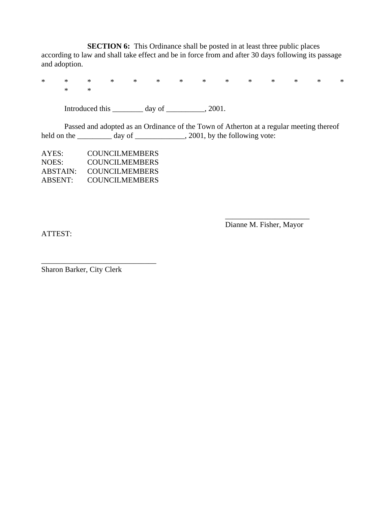**SECTION 6:** This Ordinance shall be posted in at least three public places according to law and shall take effect and be in force from and after 30 days following its passage and adoption.

\* \* \* \* \* \* \* \* \* \* \* \* \* \* \* \*

Introduced this  $\frac{1}{2}$  day of  $\frac{1}{2}$ , 2001.

 Passed and adopted as an Ordinance of the Town of Atherton at a regular meeting thereof held on the \_\_\_\_\_\_\_\_\_\_ day of \_\_\_\_\_\_\_\_\_\_\_, 2001, by the following vote:

 $\overline{\phantom{a}}$  , and the contract of the contract of the contract of the contract of the contract of the contract of the contract of the contract of the contract of the contract of the contract of the contract of the contrac

| AYES:    | <b>COUNCILMEMBERS</b> |
|----------|-----------------------|
| NOES:    | <b>COUNCILMEMBERS</b> |
| ABSTAIN: | <b>COUNCILMEMBERS</b> |
| ABSENT:  | <b>COUNCILMEMBERS</b> |

\_\_\_\_\_\_\_\_\_\_\_\_\_\_\_\_\_\_\_\_\_\_\_\_\_\_\_\_\_\_

ATTEST:

Dianne M. Fisher, Mayor

Sharon Barker, City Clerk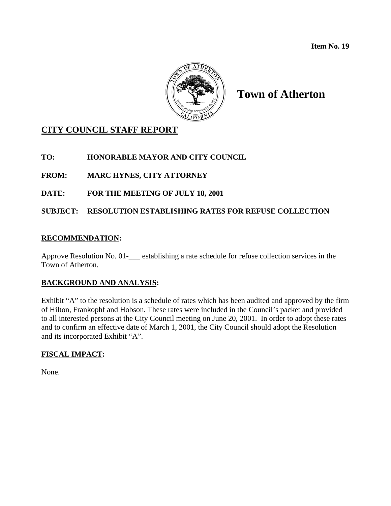**Item No. 19** 



# **Town of Atherton**

# **CITY COUNCIL STAFF REPORT**

**TO: HONORABLE MAYOR AND CITY COUNCIL** 

**FROM: MARC HYNES, CITY ATTORNEY** 

**DATE: FOR THE MEETING OF JULY 18, 2001** 

**SUBJECT: RESOLUTION ESTABLISHING RATES FOR REFUSE COLLECTION** 

### **RECOMMENDATION:**

Approve Resolution No. 01-\_\_\_ establishing a rate schedule for refuse collection services in the Town of Atherton.

### **BACKGROUND AND ANALYSIS:**

Exhibit "A" to the resolution is a schedule of rates which has been audited and approved by the firm of Hilton, Frankophf and Hobson. These rates were included in the Council's packet and provided to all interested persons at the City Council meeting on June 20, 2001. In order to adopt these rates and to confirm an effective date of March 1, 2001, the City Council should adopt the Resolution and its incorporated Exhibit "A".

## **FISCAL IMPACT:**

None.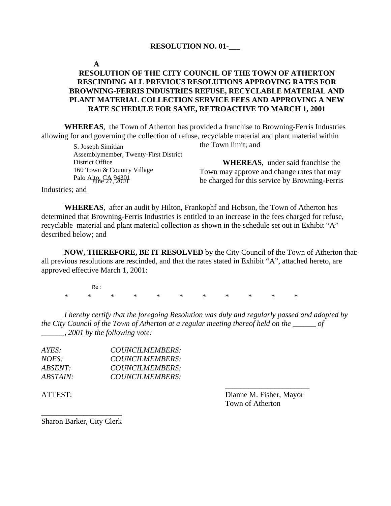#### **RESOLUTION NO. 01-\_\_\_**

#### **A**

### **RESOLUTION OF THE CITY COUNCIL OF THE TOWN OF ATHERTON RESCINDING ALL PREVIOUS RESOLUTIONS APPROVING RATES FOR BROWNING-FERRIS INDUSTRIES REFUSE, RECYCLABLE MATERIAL AND PLANT MATERIAL COLLECTION SERVICE FEES AND APPROVING A NEW RATE SCHEDULE FOR SAME, RETROACTIVE TO MARCH 1, 2001**

**WHEREAS**, the Town of Atherton has provided a franchise to Browning-Ferris Industries allowing for and governing the collection of refuse, recyclable material and plant material within

> Palo Alto, CA 94301<br>June 27, 2001 S. Joseph Simitian Assemblymember, Twenty-First District District Office 160 Town & Country Village

the Town limit; and

**WHEREAS**, under said franchise the Town may approve and change rates that may be charged for this service by Browning-Ferris

Industries; and

**WHEREAS**, after an audit by Hilton, Frankophf and Hobson, the Town of Atherton has determined that Browning-Ferris Industries is entitled to an increase in the fees charged for refuse, recyclable material and plant material collection as shown in the schedule set out in Exhibit "A" described below; and

**NOW, THEREFORE, BE IT RESOLVED** by the City Council of the Town of Atherton that: all previous resolutions are rescinded, and that the rates stated in Exhibit "A", attached hereto, are approved effective March 1, 2001:

 \* \* \* \* \* \* \* \* \* \* \* Re:

*I hereby certify that the foregoing Resolution was duly and regularly passed and adopted by the City Council of the Town of Atherton at a regular meeting thereof held on the \_\_\_\_\_\_ of \_\_\_\_\_\_, 2001 by the following vote:* 

| AYES:    | COUNCILMEMBERS: |  |
|----------|-----------------|--|
| NOES:    | COUNCILMEMBERS: |  |
| ABSENT:  | COUNCILMEMBERS: |  |
| ABSTAIN: | COUNCILMEMBERS: |  |
|          |                 |  |

ATTEST: Dianne M. Fisher, Mayor Town of Atherton

**\_\_\_\_\_\_\_\_\_\_\_\_\_\_\_\_\_\_\_\_\_**  Sharon Barker, City Clerk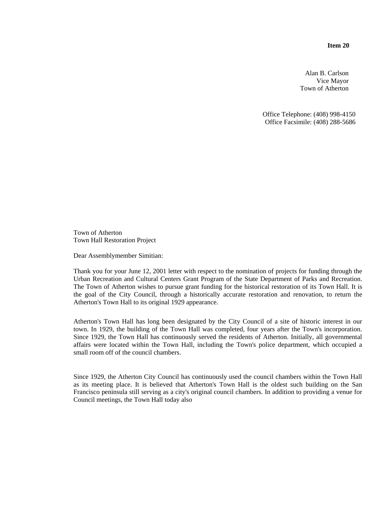**Item 20** 

Alan B. Carlson Vice Mayor Town of Atherton

Office Telephone: (408) 998-4150 Office Facsimile: (408) 288-5686

Town of Atherton Town Hall Restoration Project

Dear Assemblymember Simitian:

Thank you for your June 12, 2001 letter with respect to the nomination of projects for funding through the Urban Recreation and Cultural Centers Grant Program of the State Department of Parks and Recreation. The Town of Atherton wishes to pursue grant funding for the historical restoration of its Town Hall. It is the goal of the City Council, through a historically accurate restoration and renovation, to return the Atherton's Town Hall to its original 1929 appearance.

Atherton's Town Hall has long been designated by the City Council of a site of historic interest in our town. In 1929, the building of the Town Hall was completed, four years after the Town's incorporation. Since 1929, the Town Hall has continuously served the residents of Atherton. Initially, all governmental affairs were located within the Town Hall, including the Town's police department, which occupied a small room off of the council chambers.

Since 1929, the Atherton City Council has continuously used the council chambers within the Town Hall as its meeting place. It is believed that Atherton's Town Hall is the oldest such building on the San Francisco peninsula still serving as a city's original council chambers. In addition to providing a venue for Council meetings, the Town Hall today also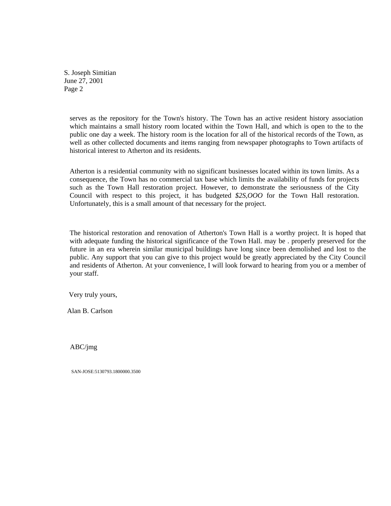S. Joseph Simitian June 27, 2001 Page 2

serves as the repository for the Town's history. The Town has an active resident history association which maintains a small history room located within the Town Hall, and which is open to the to the public one day a week. The history room is the location for all of the historical records of the Town, as well as other collected documents and items ranging from newspaper photographs to Town artifacts of historical interest to Atherton and its residents.

Atherton is a residential community with no significant businesses located within its town limits. As a consequence, the Town has no commercial tax base which limits the availability of funds for projects such as the Town Hall restoration project. However, to demonstrate the seriousness of the City Council with respect to this project, it has budgeted *\$2S,OOO* for the Town Hall restoration. Unfortunately, this is a small amount of that necessary for the project.

The historical restoration and renovation of Atherton's Town Hall is a worthy project. It is hoped that with adequate funding the historical significance of the Town Hall. may be . properly preserved for the future in an era wherein similar municipal buildings have long since been demolished and lost to the public. Any support that you can give to this project would be greatly appreciated by the City Council and residents of Atherton. At your convenience, I will look forward to hearing from you or a member of your staff.

Very truly yours,

Alan B. Carlson

ABC/jmg

SAN-JOSE:5130793.1800000.3500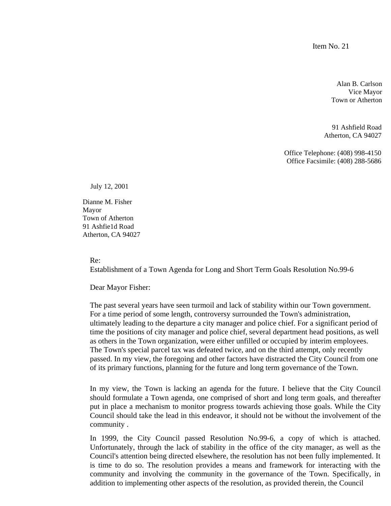Item No. 21

Alan B. Carlson Vice Mayor Town or Atherton

 91 Ashfield Road Atherton, CA 94027

Office Telephone: (408) 998-4150 Office Facsimile: (408) 288-5686

July 12, 2001

Dianne M. Fisher Mayor Town of Atherton 91 Ashfie1d Road Atherton, CA 94027

Re:

Establishment of a Town Agenda for Long and Short Term Goals Resolution No.99-6

Dear Mayor Fisher:

The past several years have seen turmoil and lack of stability within our Town government. For a time period of some length, controversy surrounded the Town's administration, ultimately leading to the departure a city manager and police chief. For a significant period of time the positions of city manager and police chief, several department head positions, as well as others in the Town organization, were either unfilled or occupied by interim employees. The Town's special parcel tax was defeated twice, and on the third attempt, only recently passed. In my view, the foregoing and other factors have distracted the City Council from one of its primary functions, planning for the future and long term governance of the Town.

In my view, the Town is lacking an agenda for the future. I believe that the City Council should formulate a Town agenda, one comprised of short and long term goals, and thereafter put in place a mechanism to monitor progress towards achieving those goals. While the City Council should take the lead in this endeavor, it should not be without the involvement of the community .

In 1999, the City Council passed Resolution No.99-6, a copy of which is attached. Unfortunately, through the lack of stability in the office of the city manager, as well as the Council's attention being directed elsewhere, the resolution has not been fully implemented. It is time to do so. The resolution provides a means and framework for interacting with the community and involving the community in the governance of the Town. Specifically, in addition to implementing other aspects of the resolution, as provided therein, the Council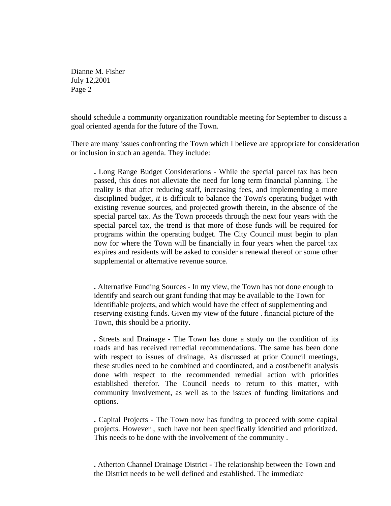Dianne M. Fisher July 12,2001 Page 2

should schedule a community organization roundtable meeting for September to discuss a goal oriented agenda for the future of the Town.

There are many issues confronting the Town which I believe are appropriate for consideration or inclusion in such an agenda. They include:

**.** Long Range Budget Considerations - While the special parcel tax has been passed, this does not alleviate the need for long term financial planning. The reality is that after reducing staff, increasing fees, and implementing a more disciplined budget, *it* is difficult to balance the Town's operating budget with existing revenue sources, and projected growth therein, in the absence of the special parcel tax. As the Town proceeds through the next four years with the special parcel tax, the trend is that more of those funds will be required for programs within the operating budget. The City Council must begin to plan now for where the Town will be financially in four years when the parcel tax expires and residents will be asked to consider a renewal thereof or some other supplemental or alternative revenue source.

**.** Alternative Funding Sources - In my view, the Town has not done enough to identify and search out grant funding that may be available to the Town for identifiable projects, and which would have the effect of supplementing and reserving existing funds. Given my view of the future . financial picture of the Town, this should be a priority.

**.** Streets and Drainage - The Town has done a study on the condition of its roads and has received remedial recommendations. The same has been done with respect to issues of drainage. As discussed at prior Council meetings, these studies need to be combined and coordinated, and a cost/benefit analysis done with respect to the recommended remedial action with priorities established therefor. The Council needs to return to this matter, with community involvement, as well as to the issues of funding limitations and options.

**.** Capital Projects - The Town now has funding to proceed with some capital projects. However , such have not been specifically identified and prioritized. This needs to be done with the involvement of the community .

**.** Atherton Channel Drainage District - The relationship between the Town and the District needs to be well defined and established. The immediate